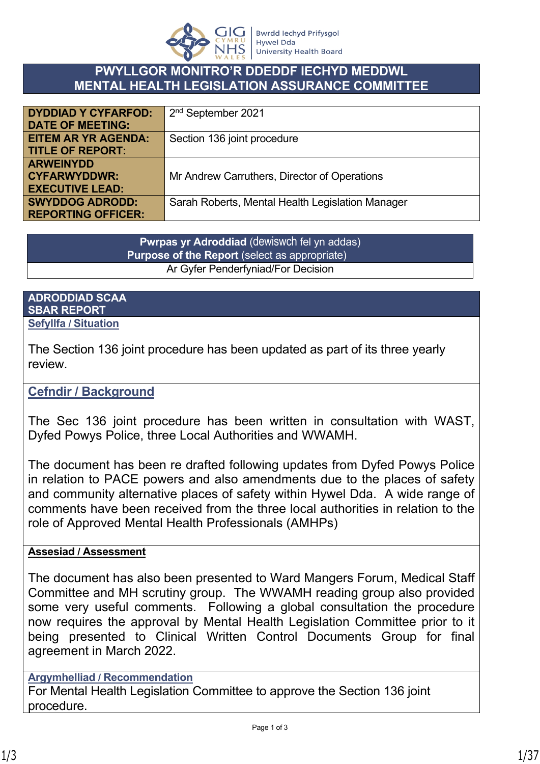

### **PWYLLGOR MONITRO'R DDEDDF IECHYD MEDDWL MENTAL HEALTH LEGISLATION ASSURANCE COMMITTEE**

| <b>DYDDIAD Y CYFARFOD:</b> | 2 <sup>nd</sup> September 2021                   |
|----------------------------|--------------------------------------------------|
| <b>DATE OF MEETING:</b>    |                                                  |
| <b>EITEM AR YR AGENDA:</b> | Section 136 joint procedure                      |
| <b>TITLE OF REPORT:</b>    |                                                  |
| <b>ARWEINYDD</b>           |                                                  |
| <b>CYFARWYDDWR:</b>        | Mr Andrew Carruthers, Director of Operations     |
| <b>EXECUTIVE LEAD:</b>     |                                                  |
| <b>SWYDDOG ADRODD:</b>     | Sarah Roberts, Mental Health Legislation Manager |
| <b>REPORTING OFFICER:</b>  |                                                  |

**Pwrpas yr Adroddiad** (dewiswch fel yn addas) **Purpose of the Report** (select as appropriate) Ar Gyfer Penderfyniad/For Decision

#### **ADRODDIAD SCAA SBAR REPORT Sefyllfa / Situation**

The Section 136 joint procedure has been updated as part of its three yearly review.

### **Cefndir / Background**

The Sec 136 joint procedure has been written in consultation with WAST, Dyfed Powys Police, three Local Authorities and WWAMH.

The document has been re drafted following updates from Dyfed Powys Police in relation to PACE powers and also amendments due to the places of safety and community alternative places of safety within Hywel Dda. A wide range of comments have been received from the three local authorities in relation to the role of Approved Mental Health Professionals (AMHPs)

#### **Assesiad / Assessment**

The document has also been presented to Ward Mangers Forum, Medical Staff Committee and MH scrutiny group. The WWAMH reading group also provided some very useful comments. Following a global consultation the procedure now requires the approval by Mental Health Legislation Committee prior to it being presented to Clinical Written Control Documents Group for final agreement in March 2022.

#### **Argymhelliad / Recommendation**

For Mental Health Legislation Committee to approve the Section 136 joint procedure.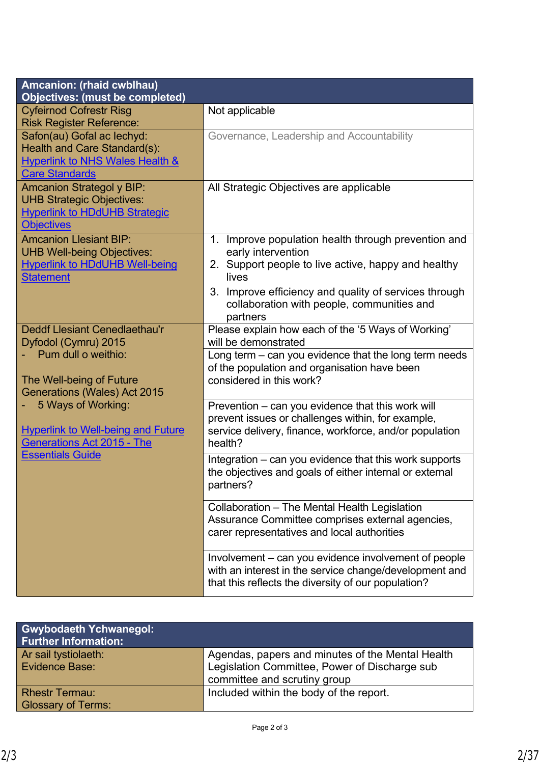| <b>Amcanion: (rhaid cwblhau)</b><br>Objectives: (must be completed)                                                                      |                                                                                                                                                                                                                                                              |
|------------------------------------------------------------------------------------------------------------------------------------------|--------------------------------------------------------------------------------------------------------------------------------------------------------------------------------------------------------------------------------------------------------------|
| <b>Cyfeirnod Cofrestr Risg</b><br><b>Risk Register Reference:</b>                                                                        | Not applicable                                                                                                                                                                                                                                               |
| Safon(au) Gofal ac lechyd:<br><b>Health and Care Standard(s):</b><br><b>Hyperlink to NHS Wales Health &amp;</b><br><b>Care Standards</b> | Governance, Leadership and Accountability                                                                                                                                                                                                                    |
| <b>Amcanion Strategol y BIP:</b><br><b>UHB Strategic Objectives:</b><br><b>Hyperlink to HDdUHB Strategic</b><br><b>Objectives</b>        | All Strategic Objectives are applicable                                                                                                                                                                                                                      |
| <b>Amcanion Llesiant BIP:</b><br><b>UHB Well-being Objectives:</b><br><b>Hyperlink to HDdUHB Well-being</b><br><b>Statement</b>          | 1. Improve population health through prevention and<br>early intervention<br>2. Support people to live active, happy and healthy<br>lives<br>3. Improve efficiency and quality of services through<br>collaboration with people, communities and<br>partners |
| <b>Deddf Llesiant Cenedlaethau'r</b><br>Dyfodol (Cymru) 2015                                                                             | Please explain how each of the '5 Ways of Working'<br>will be demonstrated                                                                                                                                                                                   |
| Pum dull o weithio:<br>The Well-being of Future<br><b>Generations (Wales) Act 2015</b>                                                   | Long term - can you evidence that the long term needs<br>of the population and organisation have been<br>considered in this work?                                                                                                                            |
| 5 Ways of Working:<br><b>Hyperlink to Well-being and Future</b><br><b>Generations Act 2015 - The</b>                                     | Prevention - can you evidence that this work will<br>prevent issues or challenges within, for example,<br>service delivery, finance, workforce, and/or population<br>health?                                                                                 |
| <b>Essentials Guide</b>                                                                                                                  | Integration – can you evidence that this work supports<br>the objectives and goals of either internal or external<br>partners?                                                                                                                               |
|                                                                                                                                          | Collaboration - The Mental Health Legislation<br>Assurance Committee comprises external agencies,<br>carer representatives and local authorities                                                                                                             |
|                                                                                                                                          | Involvement – can you evidence involvement of people<br>with an interest in the service change/development and<br>that this reflects the diversity of our population?                                                                                        |

| <b>Gwybodaeth Ychwanegol:</b><br><b>Further Information:</b> |                                                                                                   |
|--------------------------------------------------------------|---------------------------------------------------------------------------------------------------|
| Ar sail tystiolaeth:<br>Evidence Base:                       | Agendas, papers and minutes of the Mental Health<br>Legislation Committee, Power of Discharge sub |
|                                                              | committee and scrutiny group                                                                      |
| <b>Rhestr Termau:</b>                                        | Included within the body of the report.                                                           |
| <b>Glossary of Terms:</b>                                    |                                                                                                   |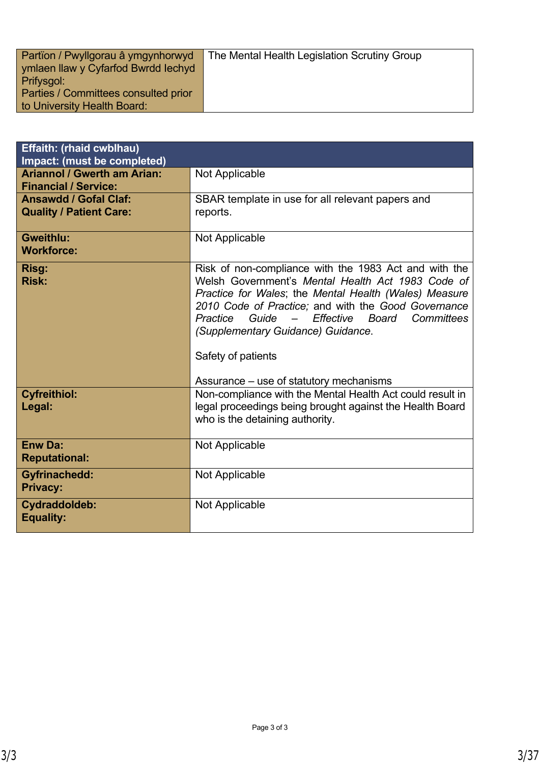| Partion / Pwyllgorau â ymgynhorwyd<br>ymlaen llaw y Cyfarfod Bwrdd Iechyd | The Mental Health Legislation Scrutiny Group |
|---------------------------------------------------------------------------|----------------------------------------------|
| Prifysgol:<br>Parties / Committees consulted prior                        |                                              |
| to University Health Board:                                               |                                              |

| <b>Effaith: (rhaid cwblhau)</b><br>Impact: (must be completed)    |                                                                                                                                                                                                                                                                                                                                                                                              |
|-------------------------------------------------------------------|----------------------------------------------------------------------------------------------------------------------------------------------------------------------------------------------------------------------------------------------------------------------------------------------------------------------------------------------------------------------------------------------|
| <b>Ariannol / Gwerth am Arian:</b><br><b>Financial / Service:</b> | Not Applicable                                                                                                                                                                                                                                                                                                                                                                               |
| <b>Ansawdd / Gofal Claf:</b><br><b>Quality / Patient Care:</b>    | SBAR template in use for all relevant papers and<br>reports.                                                                                                                                                                                                                                                                                                                                 |
| <b>Gweithlu:</b><br><b>Workforce:</b>                             | Not Applicable                                                                                                                                                                                                                                                                                                                                                                               |
| Risg:<br><b>Risk:</b>                                             | Risk of non-compliance with the 1983 Act and with the<br>Welsh Government's Mental Health Act 1983 Code of<br>Practice for Wales; the Mental Health (Wales) Measure<br>2010 Code of Practice; and with the Good Governance<br>Guide<br>- Effective<br>Practice<br>Board<br>Committees<br>(Supplementary Guidance) Guidance.<br>Safety of patients<br>Assurance – use of statutory mechanisms |
| <b>Cyfreithiol:</b><br>Legal:                                     | Non-compliance with the Mental Health Act could result in<br>legal proceedings being brought against the Health Board<br>who is the detaining authority.                                                                                                                                                                                                                                     |
| <b>Enw Da:</b><br><b>Reputational:</b>                            | Not Applicable                                                                                                                                                                                                                                                                                                                                                                               |
| <b>Gyfrinachedd:</b><br><b>Privacy:</b>                           | Not Applicable                                                                                                                                                                                                                                                                                                                                                                               |
| Cydraddoldeb:<br><b>Equality:</b>                                 | Not Applicable                                                                                                                                                                                                                                                                                                                                                                               |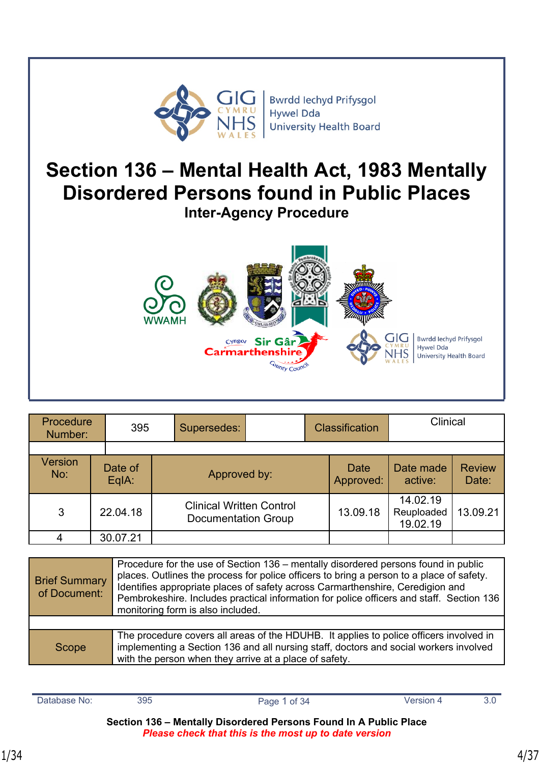

**Bwrdd lechyd Prifysgol Hywel Dda University Health Board** 

# **Section 136 – Mental Health Act, 1983 Mentally Disordered Persons found in Public Places**

**Inter-Agency Procedure** 



| Procedure<br>Number:  | 395              |  | Supersedes:                                                   |  | <b>Classification</b> |                          | Clinical                           |                        |
|-----------------------|------------------|--|---------------------------------------------------------------|--|-----------------------|--------------------------|------------------------------------|------------------------|
|                       |                  |  |                                                               |  |                       |                          |                                    |                        |
| <b>Version</b><br>No: | Date of<br>EqIA: |  | Approved by:                                                  |  |                       | <b>Date</b><br>Approved: | Date made<br>active:               | <b>Review</b><br>Date: |
| 3                     | 22.04.18         |  | <b>Clinical Written Control</b><br><b>Documentation Group</b> |  |                       | 13.09.18                 | 14.02.19<br>Reuploaded<br>19.02.19 | 13.09.21               |
| 4                     | 30.07.21         |  |                                                               |  |                       |                          |                                    |                        |

| <b>Brief Summary</b><br>of Document: | Procedure for the use of Section 136 – mentally disordered persons found in public<br>places. Outlines the process for police officers to bring a person to a place of safety.<br>Identifies appropriate places of safety across Carmarthenshire, Ceredigion and<br>Pembrokeshire. Includes practical information for police officers and staff. Section 136<br>monitoring form is also included. |
|--------------------------------------|---------------------------------------------------------------------------------------------------------------------------------------------------------------------------------------------------------------------------------------------------------------------------------------------------------------------------------------------------------------------------------------------------|
|                                      |                                                                                                                                                                                                                                                                                                                                                                                                   |
| Scope                                | The procedure covers all areas of the HDUHB. It applies to police officers involved in<br>implementing a Section 136 and all nursing staff, doctors and social workers involved<br>with the person when they arrive at a place of safety.                                                                                                                                                         |

| Database No: | 395 | Page 1 of 34 | Version 4 |  |
|--------------|-----|--------------|-----------|--|
|              |     |              |           |  |

**Section 136 – Mentally Disordered Persons Found In A Public Place**  *Please check that this is the most up to date version*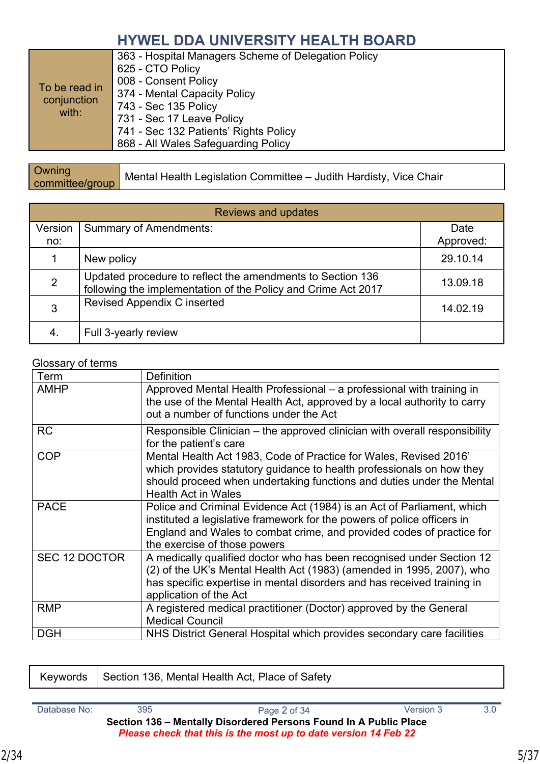| To be read in<br>conjunction<br>with: | 363 - Hospital Managers Scheme of Delegation Policy<br>625 - CTO Policy<br>008 - Consent Policy<br>374 - Mental Capacity Policy<br>743 - Sec 135 Policy<br>731 - Sec 17 Leave Policy<br>741 - Sec 132 Patients' Rights Policy<br>868 - All Wales Safeguarding Policy |
|---------------------------------------|----------------------------------------------------------------------------------------------------------------------------------------------------------------------------------------------------------------------------------------------------------------------|
|---------------------------------------|----------------------------------------------------------------------------------------------------------------------------------------------------------------------------------------------------------------------------------------------------------------------|

| Owning          | Mental Health Legislation Committee - Judith Hardisty, Vice Chair |
|-----------------|-------------------------------------------------------------------|
| committee/group |                                                                   |

| <b>Reviews and updates</b> |                                                                                                                             |                   |  |
|----------------------------|-----------------------------------------------------------------------------------------------------------------------------|-------------------|--|
| Version<br>no:             | <b>Summary of Amendments:</b>                                                                                               | Date<br>Approved: |  |
|                            | New policy                                                                                                                  | 29.10.14          |  |
| $\overline{2}$             | Updated procedure to reflect the amendments to Section 136<br>following the implementation of the Policy and Crime Act 2017 | 13.09.18          |  |
| 3                          | <b>Revised Appendix C inserted</b>                                                                                          | 14.02.19          |  |
| 4.                         | Full 3-yearly review                                                                                                        |                   |  |

#### Glossary of terms

| Term                 | <b>Definition</b>                                                                                                                                                                                                                                          |
|----------------------|------------------------------------------------------------------------------------------------------------------------------------------------------------------------------------------------------------------------------------------------------------|
| <b>AMHP</b>          | Approved Mental Health Professional – a professional with training in<br>the use of the Mental Health Act, approved by a local authority to carry<br>out a number of functions under the Act                                                               |
| <b>RC</b>            | Responsible Clinician – the approved clinician with overall responsibility<br>for the patient's care                                                                                                                                                       |
| <b>COP</b>           | Mental Health Act 1983, Code of Practice for Wales, Revised 2016'<br>which provides statutory guidance to health professionals on how they<br>should proceed when undertaking functions and duties under the Mental<br><b>Health Act in Wales</b>          |
| <b>PACE</b>          | Police and Criminal Evidence Act (1984) is an Act of Parliament, which<br>instituted a legislative framework for the powers of police officers in<br>England and Wales to combat crime, and provided codes of practice for<br>the exercise of those powers |
| <b>SEC 12 DOCTOR</b> | A medically qualified doctor who has been recognised under Section 12<br>(2) of the UK's Mental Health Act (1983) (amended in 1995, 2007), who<br>has specific expertise in mental disorders and has received training in<br>application of the Act        |
| <b>RMP</b>           | A registered medical practitioner (Doctor) approved by the General<br><b>Medical Council</b>                                                                                                                                                               |
| <b>DGH</b>           | NHS District General Hospital which provides secondary care facilities                                                                                                                                                                                     |

| Keywords   Section 136, Mental Health Act, Place of Safety |
|------------------------------------------------------------|
|                                                            |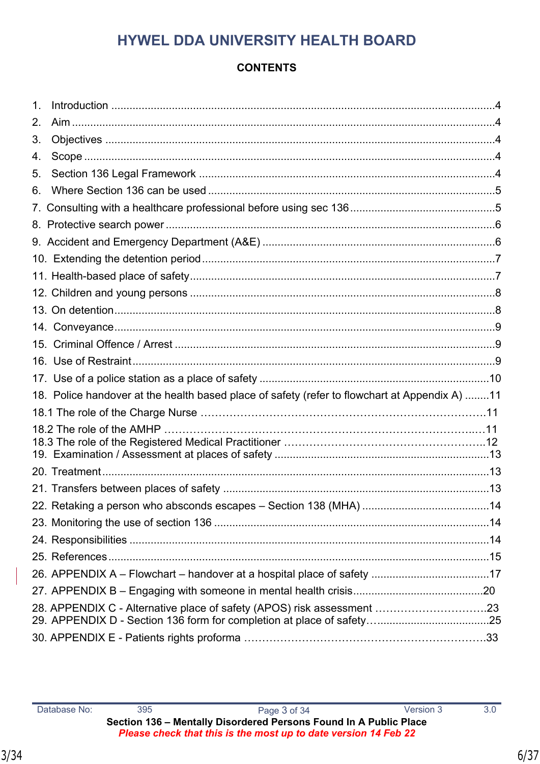### **CONTENTS**

| 1. |                                                                                               |  |
|----|-----------------------------------------------------------------------------------------------|--|
| 2. |                                                                                               |  |
| 3. |                                                                                               |  |
| 4. |                                                                                               |  |
| 5. |                                                                                               |  |
| 6. |                                                                                               |  |
|    |                                                                                               |  |
|    |                                                                                               |  |
|    |                                                                                               |  |
|    |                                                                                               |  |
|    |                                                                                               |  |
|    |                                                                                               |  |
|    |                                                                                               |  |
|    |                                                                                               |  |
|    |                                                                                               |  |
|    |                                                                                               |  |
|    |                                                                                               |  |
|    | 18. Police handover at the health based place of safety (refer to flowchart at Appendix A) 11 |  |
|    |                                                                                               |  |
|    |                                                                                               |  |
|    |                                                                                               |  |
|    |                                                                                               |  |
|    |                                                                                               |  |
|    |                                                                                               |  |
|    |                                                                                               |  |
|    |                                                                                               |  |
|    |                                                                                               |  |
|    |                                                                                               |  |
|    |                                                                                               |  |
|    |                                                                                               |  |
|    | 28. APPENDIX C - Alternative place of safety (APOS) risk assessment 23                        |  |
|    |                                                                                               |  |
|    |                                                                                               |  |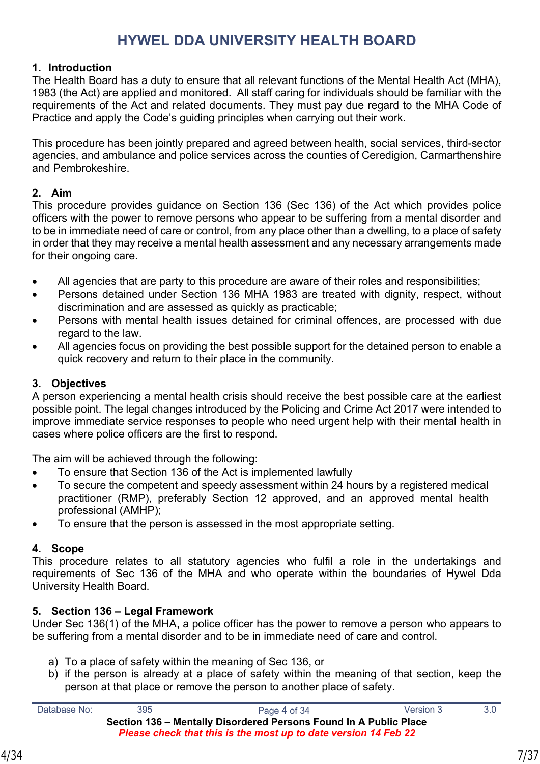#### <span id="page-6-0"></span>**1. Introduction**

The Health Board has a duty to ensure that all relevant functions of the Mental Health Act (MHA), 1983 (the Act) are applied and monitored. All staff caring for individuals should be familiar with the requirements of the Act and related documents. They must pay due regard to the MHA Code of Practice and apply the Code's guiding principles when carrying out their work.

This procedure has been jointly prepared and agreed between health, social services, third-sector agencies, and ambulance and police services across the counties of Ceredigion, Carmarthenshire and Pembrokeshire.

#### <span id="page-6-1"></span>**2. Aim**

This procedure provides guidance on Section 136 (Sec 136) of the Act which provides police officers with the power to remove persons who appear to be suffering from a mental disorder and to be in immediate need of care or control, from any place other than a dwelling, to a place of safety in order that they may receive a mental health assessment and any necessary arrangements made for their ongoing care.

- All agencies that are party to this procedure are aware of their roles and responsibilities;
- Persons detained under Section 136 MHA 1983 are treated with dignity, respect, without discrimination and are assessed as quickly as practicable;
- Persons with mental health issues detained for criminal offences, are processed with due regard to the law.
- All agencies focus on providing the best possible support for the detained person to enable a quick recovery and return to their place in the community.

#### <span id="page-6-2"></span>**3. Objectives**

A person experiencing a mental health crisis should receive the best possible care at the earliest possible point. The legal changes introduced by the Policing and Crime Act 2017 were intended to improve immediate service responses to people who need urgent help with their mental health in cases where police officers are the first to respond.

The aim will be achieved through the following:

- To ensure that Section 136 of the Act is implemented lawfully
- To secure the competent and speedy assessment within 24 hours by a registered medical practitioner (RMP), preferably Section 12 approved, and an approved mental health professional (AMHP);
- To ensure that the person is assessed in the most appropriate setting.

#### <span id="page-6-3"></span>**4. Scope**

This procedure relates to all statutory agencies who fulfil a role in the undertakings and requirements of Sec 136 of the MHA and who operate within the boundaries of Hywel Dda University Health Board.

#### **5. Section 136 – Legal Framework**

Under Sec 136(1) of the MHA, a police officer has the power to remove a person who appears to be suffering from a mental disorder and to be in immediate need of care and control.

- a) To a place of safety within the meaning of Sec 136, or
- b) if the person is already at a place of safety within the meaning of that section, keep the person at that place or remove the person to another place of safety.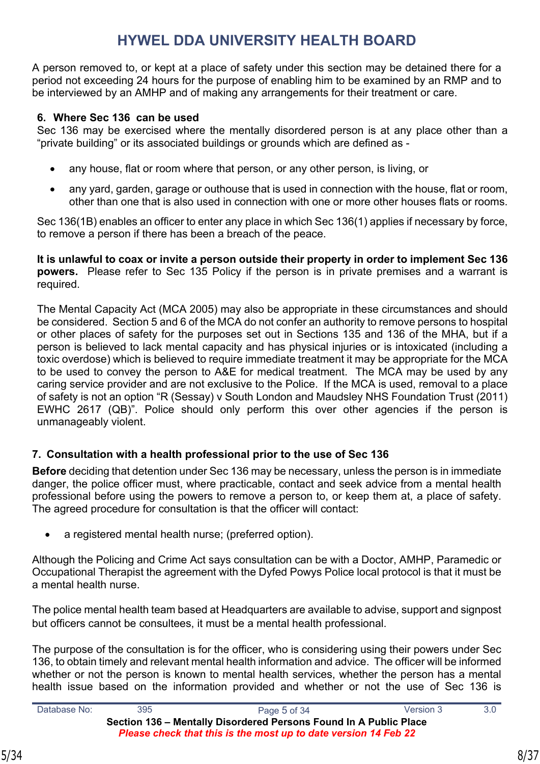A person removed to, or kept at a place of safety under this section may be detained there for a period not exceeding 24 hours for the purpose of enabling him to be examined by an RMP and to be interviewed by an AMHP and of making any arrangements for their treatment or care.

#### **6. Where Sec 136 can be used**

Sec 136 may be exercised where the mentally disordered person is at any place other than a "private building" or its associated buildings or grounds which are defined as -

- any house, flat or room where that person, or any other person, is living, or
- any yard, garden, garage or outhouse that is used in connection with the house, flat or room, other than one that is also used in connection with one or more other houses flats or rooms.

Sec 136(1B) enables an officer to enter any place in which Sec 136(1) applies if necessary by force, to remove a person if there has been a breach of the peace.

**It is unlawful to coax or invite a person outside their property in order to implement Sec 136 powers.** Please refer to Sec 135 Policy if the person is in private premises and a warrant is required.

The Mental Capacity Act (MCA 2005) may also be appropriate in these circumstances and should be considered. Section 5 and 6 of the MCA do not confer an authority to remove persons to hospital or other places of safety for the purposes set out in Sections 135 and 136 of the MHA, but if a person is believed to lack mental capacity and has physical injuries or is intoxicated (including a toxic overdose) which is believed to require immediate treatment it may be appropriate for the MCA to be used to convey the person to A&E for medical treatment. The MCA may be used by any caring service provider and are not exclusive to the Police. If the MCA is used, removal to a place of safety is not an option "R (Sessay) v South London and Maudsley NHS Foundation Trust (2011) EWHC 2617 (QB)". Police should only perform this over other agencies if the person is unmanageably violent.

#### <span id="page-7-0"></span>**7. Consultation with a health professional prior to the use of Sec 136**

**Before** deciding that detention under Sec 136 may be necessary, unless the person is in immediate danger, the police officer must, where practicable, contact and seek advice from a mental health professional before using the powers to remove a person to, or keep them at, a place of safety. The agreed procedure for consultation is that the officer will contact:

a registered mental health nurse; (preferred option).

Although the Policing and Crime Act says consultation can be with a Doctor, AMHP, Paramedic or Occupational Therapist the agreement with the Dyfed Powys Police local protocol is that it must be a mental health nurse.

The police mental health team based at Headquarters are available to advise, support and signpost but officers cannot be consultees, it must be a mental health professional.

The purpose of the consultation is for the officer, who is considering using their powers under Sec 136, to obtain timely and relevant mental health information and advice. The officer will be informed whether or not the person is known to mental health services, whether the person has a mental health issue based on the information provided and whether or not the use of Sec 136 is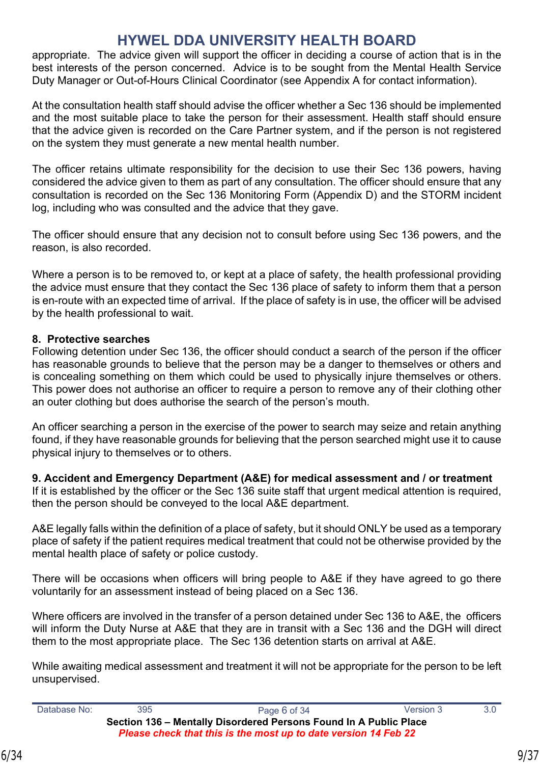appropriate. The advice given will support the officer in deciding a course of action that is in the best interests of the person concerned. Advice is to be sought from the Mental Health Service Duty Manager or Out-of-Hours Clinical Coordinator (see Appendix A for contact information).

At the consultation health staff should advise the officer whether a Sec 136 should be implemented and the most suitable place to take the person for their assessment. Health staff should ensure that the advice given is recorded on the Care Partner system, and if the person is not registered on the system they must generate a new mental health number.

The officer retains ultimate responsibility for the decision to use their Sec 136 powers, having considered the advice given to them as part of any consultation. The officer should ensure that any consultation is recorded on the Sec 136 Monitoring Form (Appendix D) and the STORM incident log, including who was consulted and the advice that they gave.

The officer should ensure that any decision not to consult before using Sec 136 powers, and the reason, is also recorded.

Where a person is to be removed to, or kept at a place of safety, the health professional providing the advice must ensure that they contact the Sec 136 place of safety to inform them that a person is en-route with an expected time of arrival. If the place of safety is in use, the officer will be advised by the health professional to wait.

#### <span id="page-8-0"></span>**8. Protective searches**

Following detention under Sec 136, the officer should conduct a search of the person if the officer has reasonable grounds to believe that the person may be a danger to themselves or others and is concealing something on them which could be used to physically injure themselves or others. This power does not authorise an officer to require a person to remove any of their clothing other an outer clothing but does authorise the search of the person's mouth.

An officer searching a person in the exercise of the power to search may seize and retain anything found, if they have reasonable grounds for believing that the person searched might use it to cause physical injury to themselves or to others.

#### <span id="page-8-1"></span>**9. Accident and Emergency Department (A&E) for medical assessment and / or treatment**

If it is established by the officer or the Sec 136 suite staff that urgent medical attention is required, then the person should be conveyed to the local A&E department.

A&E legally falls within the definition of a place of safety, but it should ONLY be used as a temporary place of safety if the patient requires medical treatment that could not be otherwise provided by the mental health place of safety or police custody.

There will be occasions when officers will bring people to A&E if they have agreed to go there voluntarily for an assessment instead of being placed on a Sec 136.

Where officers are involved in the transfer of a person detained under Sec 136 to A&E, the officers will inform the Duty Nurse at A&E that they are in transit with a Sec 136 and the DGH will direct them to the most appropriate place. The Sec 136 detention starts on arrival at A&E.

While awaiting medical assessment and treatment it will not be appropriate for the person to be left unsupervised.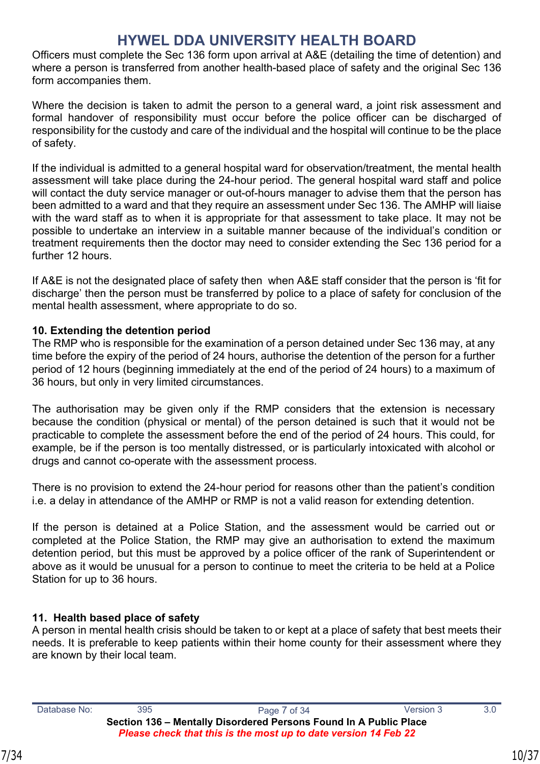Officers must complete the Sec 136 form upon arrival at A&E (detailing the time of detention) and where a person is transferred from another health-based place of safety and the original Sec 136 form accompanies them.

Where the decision is taken to admit the person to a general ward, a joint risk assessment and formal handover of responsibility must occur before the police officer can be discharged of responsibility for the custody and care of the individual and the hospital will continue to be the place of safety.

If the individual is admitted to a general hospital ward for observation/treatment, the mental health assessment will take place during the 24-hour period. The general hospital ward staff and police will contact the duty service manager or out-of-hours manager to advise them that the person has been admitted to a ward and that they require an assessment under Sec 136. The AMHP will liaise with the ward staff as to when it is appropriate for that assessment to take place. It may not be possible to undertake an interview in a suitable manner because of the individual's condition or treatment requirements then the doctor may need to consider extending the Sec 136 period for a further 12 hours.

If A&E is not the designated place of safety then when A&E staff consider that the person is 'fit for discharge' then the person must be transferred by police to a place of safety for conclusion of the mental health assessment, where appropriate to do so.

#### <span id="page-9-0"></span>**10. Extending the detention period**

The RMP who is responsible for the examination of a person detained under Sec 136 may, at any time before the expiry of the period of 24 hours, authorise the detention of the person for a further period of 12 hours (beginning immediately at the end of the period of 24 hours) to a maximum of 36 hours, but only in very limited circumstances.

The authorisation may be given only if the RMP considers that the extension is necessary because the condition (physical or mental) of the person detained is such that it would not be practicable to complete the assessment before the end of the period of 24 hours. This could, for example, be if the person is too mentally distressed, or is particularly intoxicated with alcohol or drugs and cannot co-operate with the assessment process.

There is no provision to extend the 24-hour period for reasons other than the patient's condition i.e. a delay in attendance of the AMHP or RMP is not a valid reason for extending detention.

If the person is detained at a Police Station, and the assessment would be carried out or completed at the Police Station, the RMP may give an authorisation to extend the maximum detention period, but this must be approved by a police officer of the rank of Superintendent or above as it would be unusual for a person to continue to meet the criteria to be held at a Police Station for up to 36 hours.

#### **11. Health based place of safety**

A person in mental health crisis should be taken to or kept at a place of safety that best meets their needs. It is preferable to keep patients within their home county for their assessment where they are known by their local team.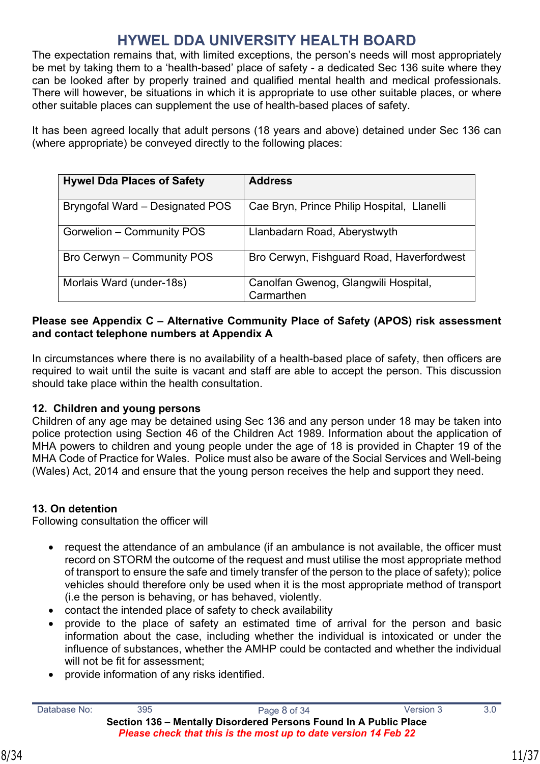The expectation remains that, with limited exceptions, the person's needs will most appropriately be met by taking them to a 'health-based' place of safety - a dedicated Sec 136 suite where they can be looked after by properly trained and qualified mental health and medical professionals. There will however, be situations in which it is appropriate to use other suitable places, or where other suitable places can supplement the use of health-based places of safety.

It has been agreed locally that adult persons (18 years and above) detained under Sec 136 can (where appropriate) be conveyed directly to the following places:

| <b>Hywel Dda Places of Safety</b> | <b>Address</b>                                     |
|-----------------------------------|----------------------------------------------------|
| Bryngofal Ward - Designated POS   | Cae Bryn, Prince Philip Hospital, Llanelli         |
| Gorwelion - Community POS         | Llanbadarn Road, Aberystwyth                       |
| Bro Cerwyn - Community POS        | Bro Cerwyn, Fishguard Road, Haverfordwest          |
| Morlais Ward (under-18s)          | Canolfan Gwenog, Glangwili Hospital,<br>Carmarthen |

#### **Please see Appendix C – Alternative Community Place of Safety (APOS) risk assessment and contact telephone numbers at Appendix A**

In circumstances where there is no availability of a health-based place of safety, then officers are required to wait until the suite is vacant and staff are able to accept the person. This discussion should take place within the health consultation.

#### <span id="page-10-0"></span>**12. Children and young persons**

Children of any age may be detained using Sec 136 and any person under 18 may be taken into police protection using Section 46 of the Children Act 1989. Information about the application of MHA powers to children and young people under the age of 18 is provided in Chapter 19 of the MHA Code of Practice for Wales. Police must also be aware of the Social Services and Well-being (Wales) Act, 2014 and ensure that the young person receives the help and support they need.

#### <span id="page-10-1"></span>**13. On detention**

Following consultation the officer will

- request the attendance of an ambulance (if an ambulance is not available, the officer must record on STORM the outcome of the request and must utilise the most appropriate method of transport to ensure the safe and timely transfer of the person to the place of safety); police vehicles should therefore only be used when it is the most appropriate method of transport (i.e the person is behaving, or has behaved, violently.
- contact the intended place of safety to check availability
- provide to the place of safety an estimated time of arrival for the person and basic information about the case, including whether the individual is intoxicated or under the influence of substances, whether the AMHP could be contacted and whether the individual will not be fit for assessment:
- provide information of any risks identified.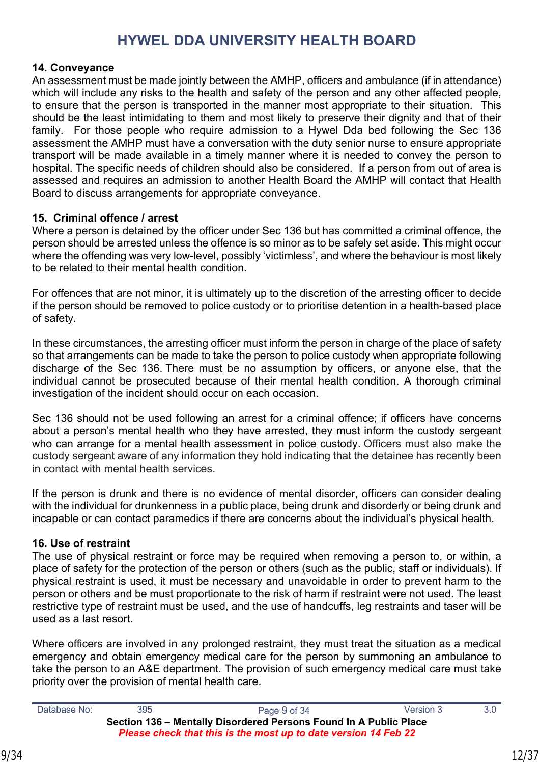#### <span id="page-11-0"></span>**14. Conveyance**

An assessment must be made jointly between the AMHP, officers and ambulance (if in attendance) which will include any risks to the health and safety of the person and any other affected people, to ensure that the person is transported in the manner most appropriate to their situation. This should be the least intimidating to them and most likely to preserve their dignity and that of their family. For those people who require admission to a Hywel Dda bed following the Sec 136 assessment the AMHP must have a conversation with the duty senior nurse to ensure appropriate transport will be made available in a timely manner where it is needed to convey the person to hospital. The specific needs of children should also be considered. If a person from out of area is assessed and requires an admission to another Health Board the AMHP will contact that Health Board to discuss arrangements for appropriate conveyance.

#### **15. Criminal offence / arrest**

Where a person is detained by the officer under Sec 136 but has committed a criminal offence, the person should be arrested unless the offence is so minor as to be safely set aside. This might occur where the offending was very low-level, possibly 'victimless', and where the behaviour is most likely to be related to their mental health condition.

For offences that are not minor, it is ultimately up to the discretion of the arresting officer to decide if the person should be removed to police custody or to prioritise detention in a health-based place of safety.

In these circumstances, the arresting officer must inform the person in charge of the place of safety so that arrangements can be made to take the person to police custody when appropriate following discharge of the Sec 136. There must be no assumption by officers, or anyone else, that the individual cannot be prosecuted because of their mental health condition. A thorough criminal investigation of the incident should occur on each occasion.

Sec 136 should not be used following an arrest for a criminal offence; if officers have concerns about a person's mental health who they have arrested, they must inform the custody sergeant who can arrange for a mental health assessment in police custody. Officers must also make the custody sergeant aware of any information they hold indicating that the detainee has recently been in contact with mental health services.

If the person is drunk and there is no evidence of mental disorder, officers can consider dealing with the individual for drunkenness in a public place, being drunk and disorderly or being drunk and incapable or can contact paramedics if there are concerns about the individual's physical health.

#### **16. Use of restraint**

The use of physical restraint or force may be required when removing a person to, or within, a place of safety for the protection of the person or others (such as the public, staff or individuals). If physical restraint is used, it must be necessary and unavoidable in order to prevent harm to the person or others and be must proportionate to the risk of harm if restraint were not used. The least restrictive type of restraint must be used, and the use of handcuffs, leg restraints and taser will be used as a last resort.

Where officers are involved in any prolonged restraint, they must treat the situation as a medical emergency and obtain emergency medical care for the person by summoning an ambulance to take the person to an A&E department. The provision of such emergency medical care must take priority over the provision of mental health care.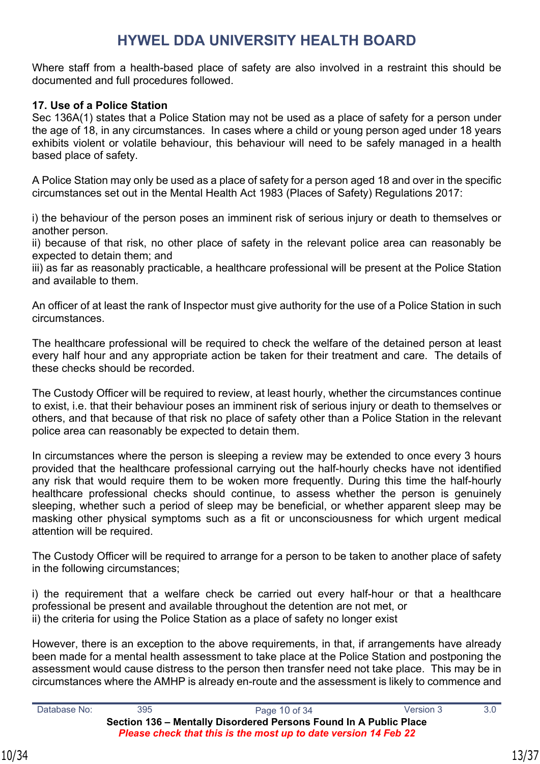Where staff from a health-based place of safety are also involved in a restraint this should be documented and full procedures followed.

#### **17. Use of a Police Station**

Sec 136A(1) states that a Police Station may not be used as a place of safety for a person under the age of 18, in any circumstances. In cases where a child or young person aged under 18 years exhibits violent or volatile behaviour, this behaviour will need to be safely managed in a health based place of safety.

A Police Station may only be used as a place of safety for a person aged 18 and over in the specific circumstances set out in the Mental Health Act 1983 (Places of Safety) Regulations 2017:

i) the behaviour of the person poses an imminent risk of serious injury or death to themselves or another person.

ii) because of that risk, no other place of safety in the relevant police area can reasonably be expected to detain them; and

iii) as far as reasonably practicable, a healthcare professional will be present at the Police Station and available to them.

An officer of at least the rank of Inspector must give authority for the use of a Police Station in such circumstances.

The healthcare professional will be required to check the welfare of the detained person at least every half hour and any appropriate action be taken for their treatment and care. The details of these checks should be recorded.

The Custody Officer will be required to review, at least hourly, whether the circumstances continue to exist, i.e. that their behaviour poses an imminent risk of serious injury or death to themselves or others, and that because of that risk no place of safety other than a Police Station in the relevant police area can reasonably be expected to detain them.

In circumstances where the person is sleeping a review may be extended to once every 3 hours provided that the healthcare professional carrying out the half-hourly checks have not identified any risk that would require them to be woken more frequently. During this time the half-hourly healthcare professional checks should continue, to assess whether the person is genuinely sleeping, whether such a period of sleep may be beneficial, or whether apparent sleep may be masking other physical symptoms such as a fit or unconsciousness for which urgent medical attention will be required.

The Custody Officer will be required to arrange for a person to be taken to another place of safety in the following circumstances;

i) the requirement that a welfare check be carried out every half-hour or that a healthcare professional be present and available throughout the detention are not met, or ii) the criteria for using the Police Station as a place of safety no longer exist

However, there is an exception to the above requirements, in that, if arrangements have already been made for a mental health assessment to take place at the Police Station and postponing the assessment would cause distress to the person then transfer need not take place. This may be in circumstances where the AMHP is already en-route and the assessment is likely to commence and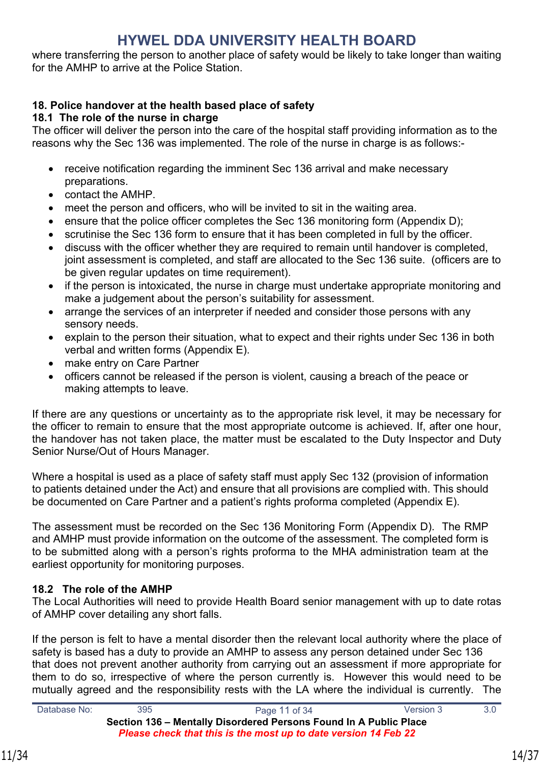where transferring the person to another place of safety would be likely to take longer than waiting for the AMHP to arrive at the Police Station.

#### **18. Police handover at the health based place of safety**

#### **18.1 The role of the nurse in charge**

The officer will deliver the person into the care of the hospital staff providing information as to the reasons why the Sec 136 was implemented. The role of the nurse in charge is as follows:-

- receive notification regarding the imminent Sec 136 arrival and make necessary preparations.
- contact the AMHP.
- meet the person and officers, who will be invited to sit in the waiting area.
- ensure that the police officer completes the Sec 136 monitoring form (Appendix D);
- scrutinise the Sec 136 form to ensure that it has been completed in full by the officer.
- discuss with the officer whether they are required to remain until handover is completed, joint assessment is completed, and staff are allocated to the Sec 136 suite. (officers are to be given regular updates on time requirement).
- if the person is intoxicated, the nurse in charge must undertake appropriate monitoring and make a judgement about the person's suitability for assessment.
- arrange the services of an interpreter if needed and consider those persons with any sensory needs.
- explain to the person their situation, what to expect and their rights under Sec 136 in both verbal and written forms (Appendix E).
- make entry on Care Partner
- officers cannot be released if the person is violent, causing a breach of the peace or making attempts to leave.

If there are any questions or uncertainty as to the appropriate risk level, it may be necessary for the officer to remain to ensure that the most appropriate outcome is achieved. If, after one hour, the handover has not taken place, the matter must be escalated to the Duty Inspector and Duty Senior Nurse/Out of Hours Manager.

Where a hospital is used as a place of safety staff must apply Sec 132 (provision of information to patients detained under the Act) and ensure that all provisions are complied with. This should be documented on Care Partner and a patient's rights proforma completed (Appendix E).

The assessment must be recorded on the Sec 136 Monitoring Form (Appendix D).The RMP and AMHP must provide information on the outcome of the assessment. The completed form is to be submitted along with a person's rights proforma to the MHA administration team at the earliest opportunity for monitoring purposes.

#### **18.2 The role of the AMHP**

The Local Authorities will need to provide Health Board senior management with up to date rotas of AMHP cover detailing any short falls.

If the person is felt to have a mental disorder then the relevant local authority where the place of safety is based has a duty to provide an AMHP to assess any person detained under Sec 136 that does not prevent another authority from carrying out an assessment if more appropriate for them to do so, irrespective of where the person currently is. However this would need to be mutually agreed and the responsibility rests with the LA where the individual is currently. The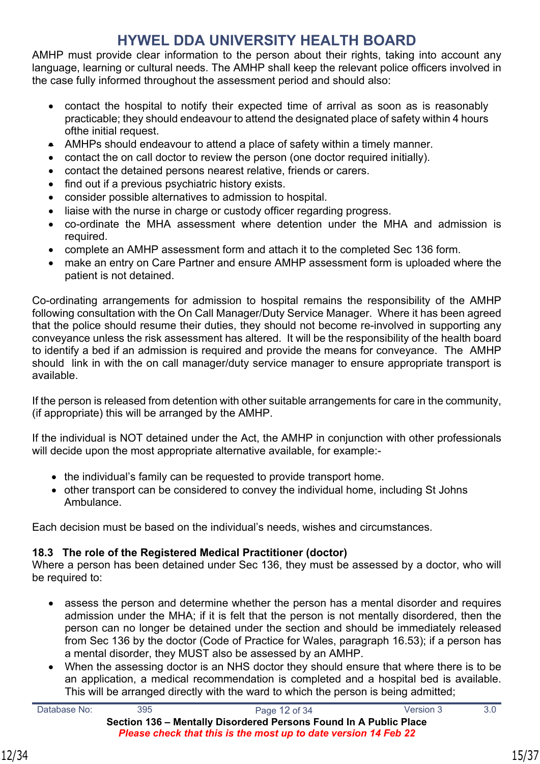AMHP must provide clear information to the person about their rights, taking into account any language, learning or cultural needs. The AMHP shall keep the relevant police officers involved in the case fully informed throughout the assessment period and should also:

- contact the hospital to notify their expected time of arrival as soon as is reasonably practicable; they should endeavour to attend the designated place of safety within 4 hours ofthe initial request.
- AMHPs should endeavour to attend a place of safety within a timely manner.
- contact the on call doctor to review the person (one doctor required initially).
- contact the detained persons nearest relative, friends or carers.
- find out if a previous psychiatric history exists.
- consider possible alternatives to admission to hospital.
- liaise with the nurse in charge or custody officer regarding progress.
- co-ordinate the MHA assessment where detention under the MHA and admission is required.
- complete an AMHP assessment form and attach it to the completed Sec 136 form.
- make an entry on Care Partner and ensure AMHP assessment form is uploaded where the patient is not detained.

Co-ordinating arrangements for admission to hospital remains the responsibility of the AMHP following consultation with the On Call Manager/Duty Service Manager. Where it has been agreed that the police should resume their duties, they should not become re-involved in supporting any conveyance unless the risk assessment has altered. It will be the responsibility of the health board to identify a bed if an admission is required and provide the means for conveyance. The AMHP should link in with the on call manager/duty service manager to ensure appropriate transport is available.

If the person is released from detention with other suitable arrangements for care in the community, (if appropriate) this will be arranged by the AMHP.

If the individual is NOT detained under the Act, the AMHP in conjunction with other professionals will decide upon the most appropriate alternative available, for example:-

- the individual's family can be requested to provide transport home.
- other transport can be considered to convey the individual home, including St Johns Ambulance.

Each decision must be based on the individual's needs, wishes and circumstances.

#### **18.3 The role of the Registered Medical Practitioner (doctor)**

Where a person has been detained under Sec 136, they must be assessed by a doctor, who will be required to:

- assess the person and determine whether the person has a mental disorder and requires admission under the MHA; if it is felt that the person is not mentally disordered, then the person can no longer be detained under the section and should be immediately released from Sec 136 by the doctor (Code of Practice for Wales, paragraph 16.53); if a person has a mental disorder, they MUST also be assessed by an AMHP.
- When the assessing doctor is an NHS doctor they should ensure that where there is to be an application, a medical recommendation is completed and a hospital bed is available. This will be arranged directly with the ward to which the person is being admitted;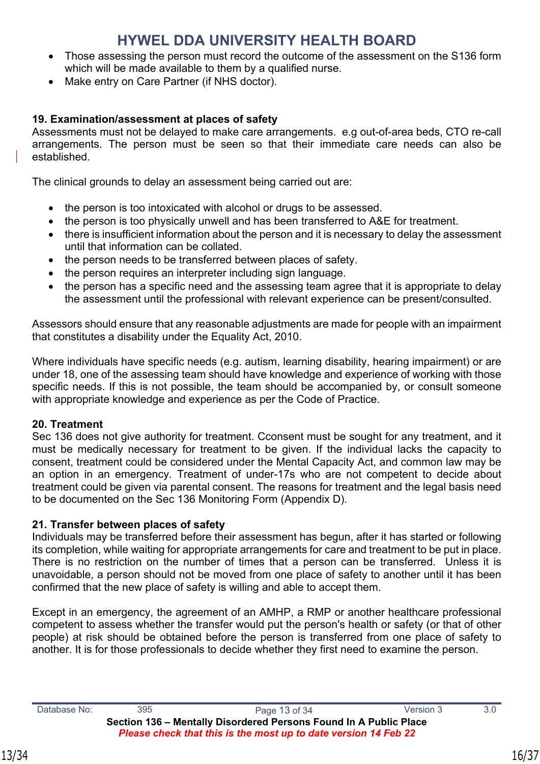- Those assessing the person must record the outcome of the assessment on the S136 form which will be made available to them by a qualified nurse.
- Make entry on Care Partner (if NHS doctor).

#### **19. Examination/assessment at places of safety**

Assessments must not be delayed to make care arrangements. e.g out-of-area beds, CTO re-call arrangements. The person must be seen so that their immediate care needs can also be established.

The clinical grounds to delay an assessment being carried out are:

- the person is too intoxicated with alcohol or drugs to be assessed.
- the person is too physically unwell and has been transferred to A&E for treatment.
- there is insufficient information about the person and it is necessary to delay the assessment until that information can be collated.
- the person needs to be transferred between places of safety.
- the person requires an interpreter including sign language.
- the person has a specific need and the assessing team agree that it is appropriate to delay the assessment until the professional with relevant experience can be present/consulted.

Assessors should ensure that any reasonable adjustments are made for people with an impairment that constitutes a disability under the Equality Act, 2010.

Where individuals have specific needs (e.g. autism, learning disability, hearing impairment) or are under 18, one of the assessing team should have knowledge and experience of working with those specific needs. If this is not possible, the team should be accompanied by, or consult someone with appropriate knowledge and experience as per the Code of Practice.

#### <span id="page-15-0"></span>**20. Treatment**

Sec 136 does not give authority for treatment. Cconsent must be sought for any treatment, and it must be medically necessary for treatment to be given. If the individual lacks the capacity to consent, treatment could be considered under the Mental Capacity Act, and common law may be an option in an emergency. Treatment of under-17s who are not competent to decide about treatment could be given via parental consent. The reasons for treatment and the legal basis need to be documented on the Sec 136 Monitoring Form (Appendix D).

#### **21. Transfer between places of safety**

Individuals may be transferred before their assessment has begun, after it has started or following its completion, while waiting for appropriate arrangements for care and treatment to be put in place. There is no restriction on the number of times that a person can be transferred. Unless it is unavoidable, a person should not be moved from one place of safety to another until it has been confirmed that the new place of safety is willing and able to accept them.

Except in an emergency, the agreement of an AMHP, a RMP or another healthcare professional competent to assess whether the transfer would put the person's health or safety (or that of other people) at risk should be obtained before the person is transferred from one place of safety to another. It is for those professionals to decide whether they first need to examine the person.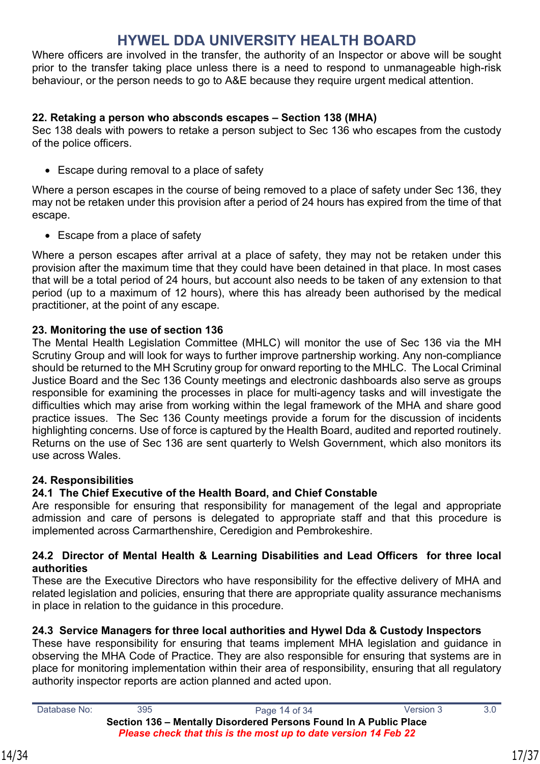Where officers are involved in the transfer, the authority of an Inspector or above will be sought prior to the transfer taking place unless there is a need to respond to unmanageable high-risk behaviour, or the person needs to go to A&E because they require urgent medical attention.

#### <span id="page-16-0"></span>**22. Retaking a person who absconds escapes – Section 138 (MHA)**

Sec 138 deals with powers to retake a person subject to Sec 136 who escapes from the custody of the police officers.

• Escape during removal to a place of safety

Where a person escapes in the course of being removed to a place of safety under Sec 136, they may not be retaken under this provision after a period of 24 hours has expired from the time of that escape.

• Escape from a place of safety

Where a person escapes after arrival at a place of safety, they may not be retaken under this provision after the maximum time that they could have been detained in that place. In most cases that will be a total period of 24 hours, but account also needs to be taken of any extension to that period (up to a maximum of 12 hours), where this has already been authorised by the medical practitioner, at the point of any escape.

#### <span id="page-16-1"></span>**23. Monitoring the use of section 136**

The Mental Health Legislation Committee (MHLC) will monitor the use of Sec 136 via the MH Scrutiny Group and will look for ways to further improve partnership working. Any non-compliance should be returned to the MH Scrutiny group for onward reporting to the MHLC. The Local Criminal Justice Board and the Sec 136 County meetings and electronic dashboards also serve as groups responsible for examining the processes in place for multi-agency tasks and will investigate the difficulties which may arise from working within the legal framework of the MHA and share good practice issues. The Sec 136 County meetings provide a forum for the discussion of incidents highlighting concerns. Use of force is captured by the Health Board, audited and reported routinely. Returns on the use of Sec 136 are sent quarterly to Welsh Government, which also monitors its use across Wales.

#### <span id="page-16-2"></span>**24. Responsibilities**

#### **24.1 The Chief Executive of the Health Board, and Chief Constable**

Are responsible for ensuring that responsibility for management of the legal and appropriate admission and care of persons is delegated to appropriate staff and that this procedure is implemented across Carmarthenshire, Ceredigion and Pembrokeshire.

#### **24.2 Director of Mental Health & Learning Disabilities and Lead Officers for three local authorities**

These are the Executive Directors who have responsibility for the effective delivery of MHA and related legislation and policies, ensuring that there are appropriate quality assurance mechanisms in place in relation to the guidance in this procedure.

#### **24.3 Service Managers for three local authorities and Hywel Dda & Custody Inspectors**

These have responsibility for ensuring that teams implement MHA legislation and guidance in observing the MHA Code of Practice. They are also responsible for ensuring that systems are in place for monitoring implementation within their area of responsibility, ensuring that all regulatory authority inspector reports are action planned and acted upon.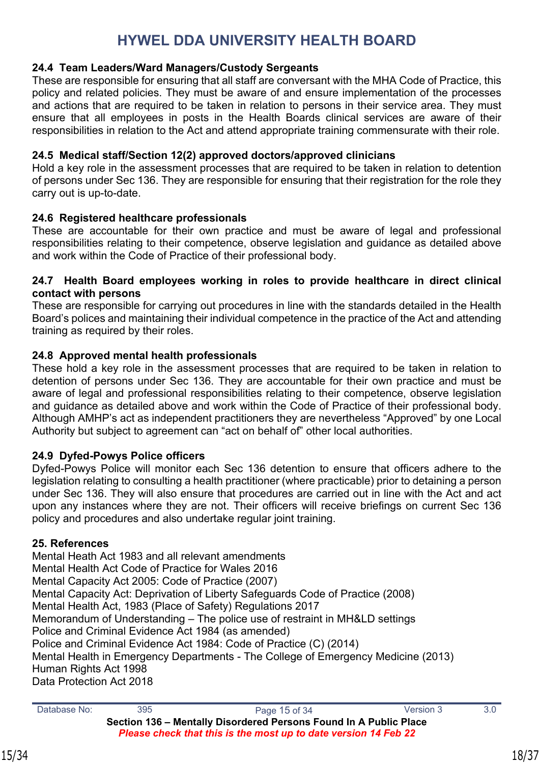#### **24.4 Team Leaders/Ward Managers/Custody Sergeants**

These are responsible for ensuring that all staff are conversant with the MHA Code of Practice, this policy and related policies. They must be aware of and ensure implementation of the processes and actions that are required to be taken in relation to persons in their service area. They must ensure that all employees in posts in the Health Boards clinical services are aware of their responsibilities in relation to the Act and attend appropriate training commensurate with their role.

#### **24.5 Medical staff/Section 12(2) approved doctors/approved clinicians**

Hold a key role in the assessment processes that are required to be taken in relation to detention of persons under Sec 136. They are responsible for ensuring that their registration for the role they carry out is up-to-date.

#### **24.6 Registered healthcare professionals**

These are accountable for their own practice and must be aware of legal and professional responsibilities relating to their competence, observe legislation and guidance as detailed above and work within the Code of Practice of their professional body.

#### **24.7 Health Board employees working in roles to provide healthcare in direct clinical contact with persons**

These are responsible for carrying out procedures in line with the standards detailed in the Health Board's polices and maintaining their individual competence in the practice of the Act and attending training as required by their roles.

#### **24.8 Approved mental health professionals**

These hold a key role in the assessment processes that are required to be taken in relation to detention of persons under Sec 136. They are accountable for their own practice and must be aware of legal and professional responsibilities relating to their competence, observe legislation and guidance as detailed above and work within the Code of Practice of their professional body. Although AMHP's act as independent practitioners they are nevertheless "Approved" by one Local Authority but subject to agreement can "act on behalf of" other local authorities.

#### **24.9 Dyfed-Powys Police officers**

Dyfed-Powys Police will monitor each Sec 136 detention to ensure that officers adhere to the legislation relating to consulting a health practitioner (where practicable) prior to detaining a person under Sec 136. They will also ensure that procedures are carried out in line with the Act and act upon any instances where they are not. Their officers will receive briefings on current Sec 136 policy and procedures and also undertake regular joint training.

#### <span id="page-17-0"></span>**25. References**

Mental Heath Act 1983 and all relevant amendments Mental Health Act Code of Practice for Wales 2016 Mental Capacity Act 2005: Code of Practice (2007) Mental Capacity Act: Deprivation of Liberty Safeguards Code of Practice (2008) Mental Health Act, 1983 (Place of Safety) Regulations 2017 Memorandum of Understanding – The police use of restraint in MH&LD settings Police and Criminal Evidence Act 1984 (as amended) Police and Criminal Evidence Act 1984: Code of Practice (C) (2014) Mental Health in Emergency Departments - The College of Emergency Medicine (2013) Human Rights Act 1998 Data Protection Act 2018

Database No: 395 3.0 **Section 136 – Mentally Disordered Persons Found In A Public Place** *Please check that this is the most up to date version 14 Feb 22*

15/34 18/37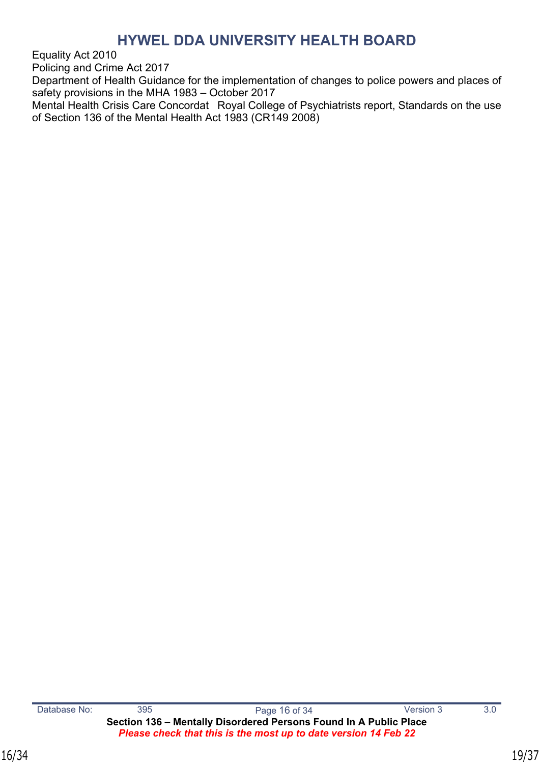Equality Act 2010

Policing and Crime Act 2017

Department of Health Guidance for the implementation of changes to police powers and places of safety provisions in the MHA 1983 – October 2017

Mental Health Crisis Care Concordat Royal College of Psychiatrists report, Standards on the use of Section 136 of the Mental Health Act 1983 (CR149 2008)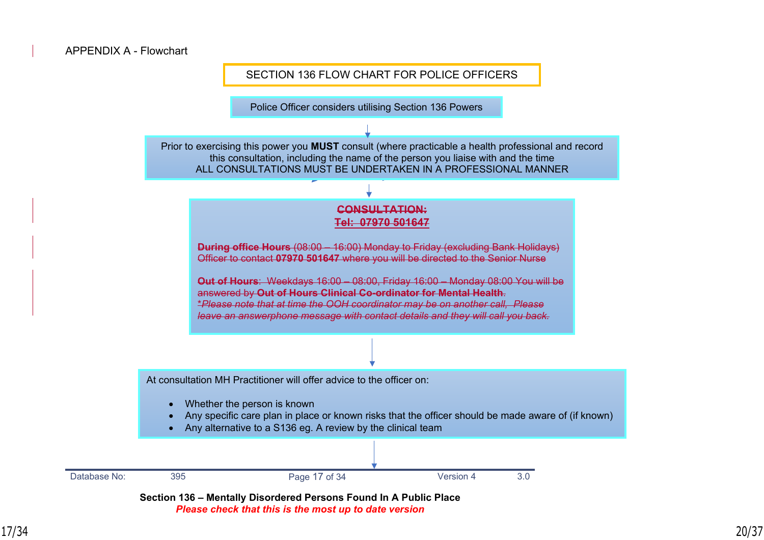

Police Officer considers utilising Section 136 Powers

Prior to exercising this power you **MUST** consult (where practicable a health professional and record this consultation, including the name of the person you liaise with and the time ALL CONSULTATIONS MUST BE UNDERTAKEN IN A PROFESSIONAL MANNER

#### **CONSULTATION: Tel: 07970 501647**

**During office Hours** (08:00 – 16:00) Monday to Friday (excluding Bank Holidays) Officer to contact **07970 501647** where you will be directed to the Senior Nurse

**Out of Hours**: Weekdays 16:00 – 08:00, Friday 16:00 – Monday 08:00 You will be answered by **Out of Hours Clinical Co-ordinator for Mental Health**. \**Please note that at time the OOH coordinator may be on another call, Please leave an answerphone message with contact details and they will call you back.*

At consultation MH Practitioner will offer advice to the officer on:

- Whether the person is known
- Any specific care plan in place or known risks that the officer should be made aware of (if known)

For Ceredigion & Pembrokeshire a discussion to agree if the individual meets the criteria for the

Any alternative to a S136 eg. A review by the clinical team



**Section 136 – Mentally Disordered Persons Found In A Public Place**  *Please check that this is the most up to date version*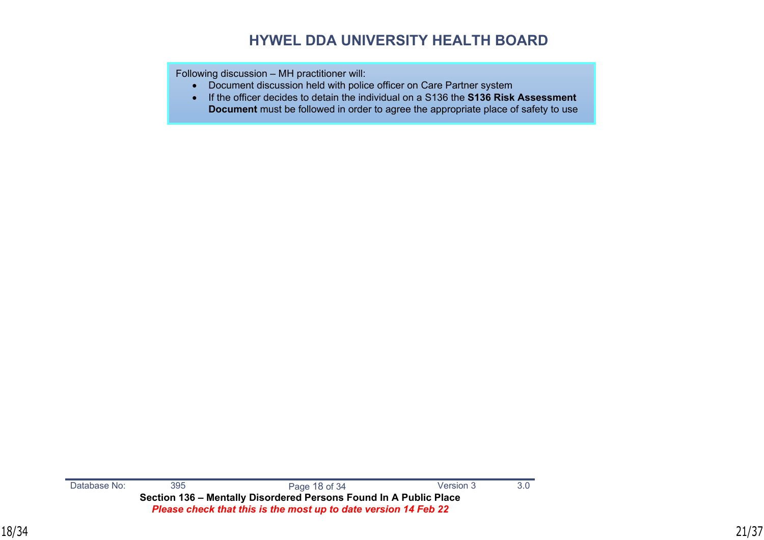Following discussion – MH practitioner will:

- Document discussion held with police officer on Care Partner system
- If the officer decides to detain the individual on a S136 the **S136 Risk Assessment Document** must be followed in order to agree the appropriate place of safety to use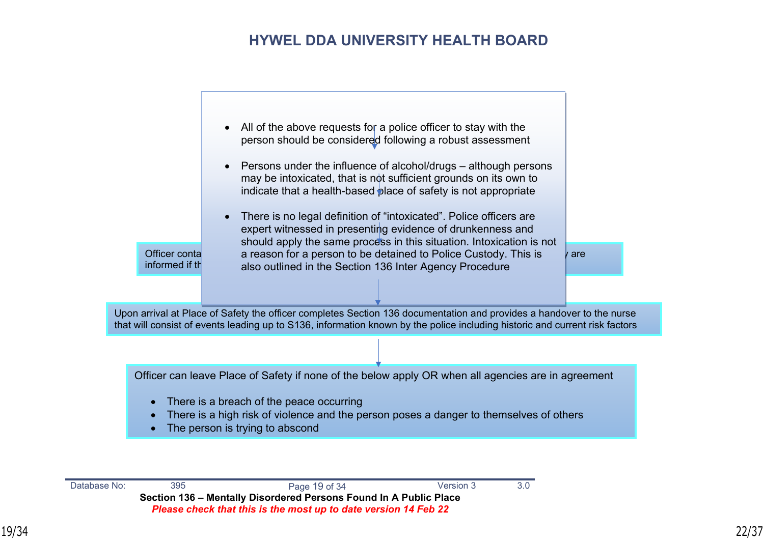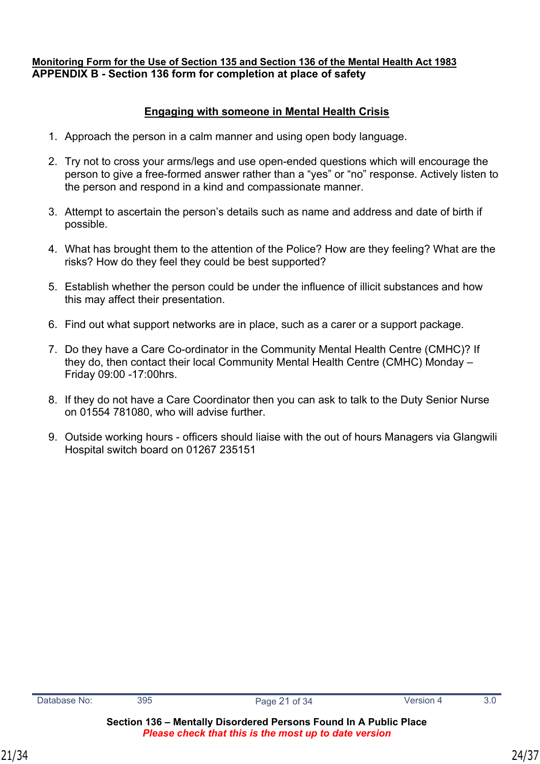#### <span id="page-23-0"></span>**Monitoring Form for the Use of Section 135 and Section 136 of the Mental Health Act 1983 APPENDIX B - Section 136 form for completion at place of safety**

#### **Engaging with someone in Mental Health Crisis**

- 1. Approach the person in a calm manner and using open body language.
- 2. Try not to cross your arms/legs and use open-ended questions which will encourage the person to give a free-formed answer rather than a "yes" or "no" response. Actively listen to the person and respond in a kind and compassionate manner.
- 3. Attempt to ascertain the person's details such as name and address and date of birth if possible.
- 4. What has brought them to the attention of the Police? How are they feeling? What are the risks? How do they feel they could be best supported?
- 5. Establish whether the person could be under the influence of illicit substances and how this may affect their presentation.
- 6. Find out what support networks are in place, such as a carer or a support package.
- 7. Do they have a Care Co-ordinator in the Community Mental Health Centre (CMHC)? If they do, then contact their local Community Mental Health Centre (CMHC) Monday – Friday 09:00 -17:00hrs.
- 8. If they do not have a Care Coordinator then you can ask to talk to the Duty Senior Nurse on 01554 781080, who will advise further.
- 9. Outside working hours officers should liaise with the out of hours Managers via Glangwili Hospital switch board on 01267 235151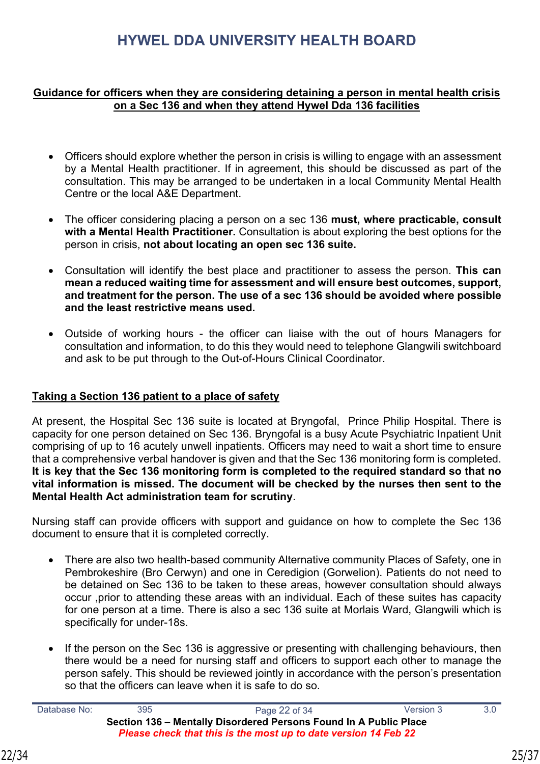#### **Guidance for officers when they are considering detaining a person in mental health crisis on a Sec 136 and when they attend Hywel Dda 136 facilities**

- Officers should explore whether the person in crisis is willing to engage with an assessment by a Mental Health practitioner. If in agreement, this should be discussed as part of the consultation. This may be arranged to be undertaken in a local Community Mental Health Centre or the local A&E Department.
- The officer considering placing a person on a sec 136 **must, where practicable, consult with a Mental Health Practitioner.** Consultation is about exploring the best options for the person in crisis, **not about locating an open sec 136 suite.**
- Consultation will identify the best place and practitioner to assess the person. **This can mean a reduced waiting time for assessment and will ensure best outcomes, support, and treatment for the person. The use of a sec 136 should be avoided where possible and the least restrictive means used.**
- Outside of working hours the officer can liaise with the out of hours Managers for consultation and information, to do this they would need to telephone Glangwili switchboard and ask to be put through to the Out-of-Hours Clinical Coordinator.

#### **Taking a Section 136 patient to a place of safety**

At present, the Hospital Sec 136 suite is located at Bryngofal, Prince Philip Hospital. There is capacity for one person detained on Sec 136. Bryngofal is a busy Acute Psychiatric Inpatient Unit comprising of up to 16 acutely unwell inpatients. Officers may need to wait a short time to ensure that a comprehensive verbal handover is given and that the Sec 136 monitoring form is completed. **It is key that the Sec 136 monitoring form is completed to the required standard so that no vital information is missed. The document will be checked by the nurses then sent to the Mental Health Act administration team for scrutiny**.

Nursing staff can provide officers with support and guidance on how to complete the Sec 136 document to ensure that it is completed correctly.

- There are also two health-based community Alternative community Places of Safety, one in Pembrokeshire (Bro Cerwyn) and one in Ceredigion (Gorwelion). Patients do not need to be detained on Sec 136 to be taken to these areas, however consultation should always occur ,prior to attending these areas with an individual. Each of these suites has capacity for one person at a time. There is also a sec 136 suite at Morlais Ward, Glangwili which is specifically for under-18s.
- If the person on the Sec 136 is aggressive or presenting with challenging behaviours, then there would be a need for nursing staff and officers to support each other to manage the person safely. This should be reviewed jointly in accordance with the person's presentation so that the officers can leave when it is safe to do so.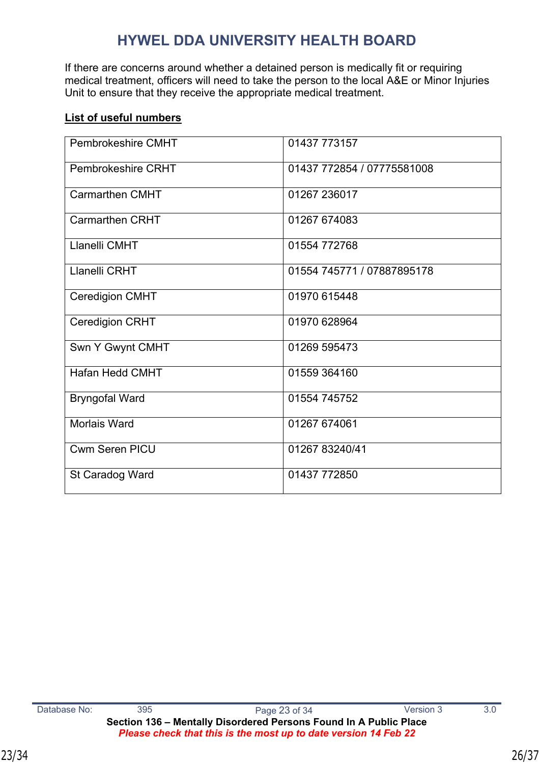If there are concerns around whether a detained person is medically fit or requiring medical treatment, officers will need to take the person to the local A&E or Minor Injuries Unit to ensure that they receive the appropriate medical treatment.

#### **List of useful numbers**

| Pembrokeshire CMHT     | 01437 773157               |
|------------------------|----------------------------|
| Pembrokeshire CRHT     | 01437 772854 / 07775581008 |
| <b>Carmarthen CMHT</b> | 01267 236017               |
| <b>Carmarthen CRHT</b> | 01267 674083               |
| Llanelli CMHT          | 01554 772768               |
| Llanelli CRHT          | 01554 745771 / 07887895178 |
| <b>Ceredigion CMHT</b> | 01970 615448               |
| <b>Ceredigion CRHT</b> | 01970 628964               |
| Swn Y Gwynt CMHT       | 01269 595473               |
| Hafan Hedd CMHT        | 01559 364160               |
| <b>Bryngofal Ward</b>  | 01554 745752               |
| Morlais Ward           | 01267 674061               |
| Cwm Seren PICU         | 01267 83240/41             |
| St Caradog Ward        | 01437 772850               |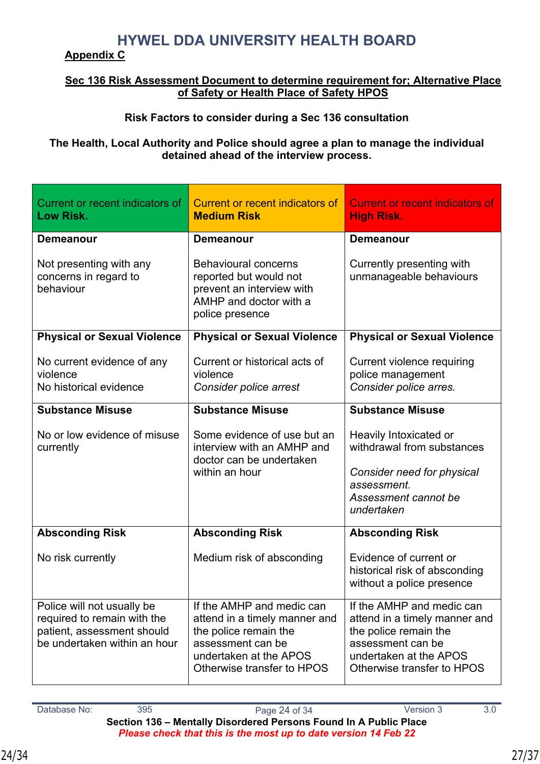#### **Appendix C**

#### **Sec 136 Risk Assessment Document to determine requirement for; Alternative Place of Safety or Health Place of Safety HPOS**

### **Risk Factors to consider during a Sec 136 consultation**

#### **The Health, Local Authority and Police should agree a plan to manage the individual detained ahead of the interview process.**

| Current or recent indicators of<br>Low Risk.                                                                                                                                                     | Current or recent indicators of<br><b>Medium Risk</b>                                                                                                            | <b>Current or recent indicators of</b><br><b>High Risk.</b>                                                                                                      |
|--------------------------------------------------------------------------------------------------------------------------------------------------------------------------------------------------|------------------------------------------------------------------------------------------------------------------------------------------------------------------|------------------------------------------------------------------------------------------------------------------------------------------------------------------|
| <b>Demeanour</b>                                                                                                                                                                                 | <b>Demeanour</b>                                                                                                                                                 | <b>Demeanour</b>                                                                                                                                                 |
| Not presenting with any<br><b>Behavioural concerns</b><br>concerns in regard to<br>reported but would not<br>behaviour<br>prevent an interview with<br>AMHP and doctor with a<br>police presence |                                                                                                                                                                  | Currently presenting with<br>unmanageable behaviours                                                                                                             |
| <b>Physical or Sexual Violence</b>                                                                                                                                                               | <b>Physical or Sexual Violence</b>                                                                                                                               | <b>Physical or Sexual Violence</b>                                                                                                                               |
| No current evidence of any<br>violence<br>No historical evidence                                                                                                                                 | Current or historical acts of<br>violence<br>Consider police arrest                                                                                              | Current violence requiring<br>police management<br>Consider police arres.                                                                                        |
| <b>Substance Misuse</b>                                                                                                                                                                          | <b>Substance Misuse</b>                                                                                                                                          | <b>Substance Misuse</b>                                                                                                                                          |
| No or low evidence of misuse<br>currently                                                                                                                                                        | Some evidence of use but an<br>interview with an AMHP and<br>doctor can be undertaken<br>within an hour                                                          | Heavily Intoxicated or<br>withdrawal from substances<br>Consider need for physical<br>assessment.<br>Assessment cannot be<br>undertaken                          |
| <b>Absconding Risk</b>                                                                                                                                                                           | <b>Absconding Risk</b>                                                                                                                                           | <b>Absconding Risk</b>                                                                                                                                           |
| No risk currently                                                                                                                                                                                | Medium risk of absconding                                                                                                                                        | Evidence of current or<br>historical risk of absconding<br>without a police presence                                                                             |
| Police will not usually be<br>required to remain with the<br>patient, assessment should<br>be undertaken within an hour                                                                          | If the AMHP and medic can<br>attend in a timely manner and<br>the police remain the<br>assessment can be<br>undertaken at the APOS<br>Otherwise transfer to HPOS | If the AMHP and medic can<br>attend in a timely manner and<br>the police remain the<br>assessment can be<br>undertaken at the APOS<br>Otherwise transfer to HPOS |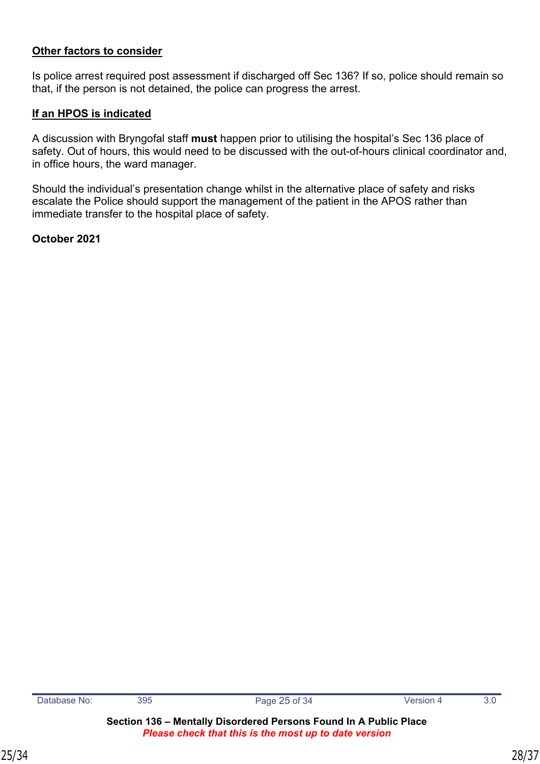#### **Other factors to consider**

Is police arrest required post assessment if discharged off Sec 136? If so, police should remain so that, if the person is not detained, the police can progress the arrest.

#### **If an HPOS is indicated**

A discussion with Bryngofal staff **must** happen prior to utilising the hospital's Sec 136 place of safety. Out of hours, this would need to be discussed with the out-of-hours clinical coordinator and, in office hours, the ward manager.

Should the individual's presentation change whilst in the alternative place of safety and risks escalate the Police should support the management of the patient in the APOS rather than immediate transfer to the hospital place of safety.

#### **October 2021**

**Section 136 – Mentally Disordered Persons Found In A Public Place**  *Please check that this is the most up to date version*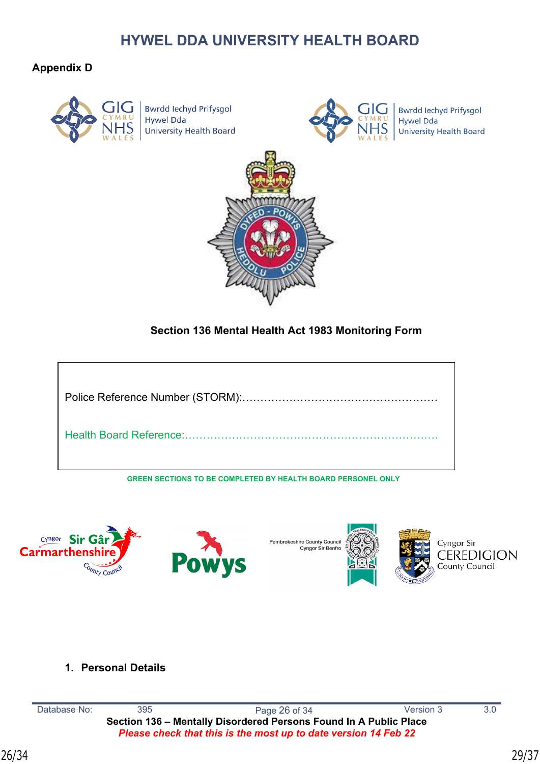#### **Appendix D**



**Bwrdd lechyd Prifysgol Hywel Dda University Health Board** 



**Bwrdd Iechyd Prifysgol Hywel Dda University Health Board** 



#### **Section 136 Mental Health Act 1983 Monitoring Form**



**GREEN SECTIONS TO BE COMPLETED BY HEALTH BOARD PERSONEL ONLY**



#### **1. Personal Details**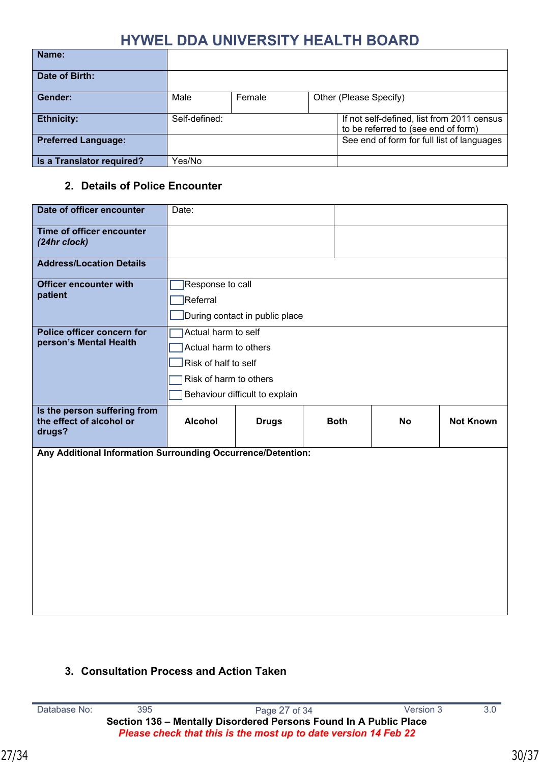| Name:                      |                |  |                                                                                   |
|----------------------------|----------------|--|-----------------------------------------------------------------------------------|
| Date of Birth:             |                |  |                                                                                   |
| Gender:                    | Female<br>Male |  | Other (Please Specify)                                                            |
| <b>Ethnicity:</b>          | Self-defined:  |  | If not self-defined, list from 2011 census<br>to be referred to (see end of form) |
| <b>Preferred Language:</b> |                |  | See end of form for full list of languages                                        |
| Is a Translator required?  | Yes/No         |  |                                                                                   |

#### **2. Details of Police Encounter**

| Date of officer encounter                                          | Date:                                                                                          |                                |             |           |                  |
|--------------------------------------------------------------------|------------------------------------------------------------------------------------------------|--------------------------------|-------------|-----------|------------------|
| Time of officer encounter<br>(24hr clock)                          |                                                                                                |                                |             |           |                  |
| <b>Address/Location Details</b>                                    |                                                                                                |                                |             |           |                  |
| <b>Officer encounter with</b><br>patient                           | Response to call<br>Referral                                                                   | During contact in public place |             |           |                  |
| Police officer concern for<br>person's Mental Health               | Actual harm to self<br>Actual harm to others<br>Risk of half to self<br>Risk of harm to others | Behaviour difficult to explain |             |           |                  |
|                                                                    |                                                                                                |                                |             |           |                  |
| Is the person suffering from<br>the effect of alcohol or<br>drugs? | <b>Alcohol</b>                                                                                 | <b>Drugs</b>                   | <b>Both</b> | <b>No</b> | <b>Not Known</b> |

#### **3. Consultation Process and Action Taken**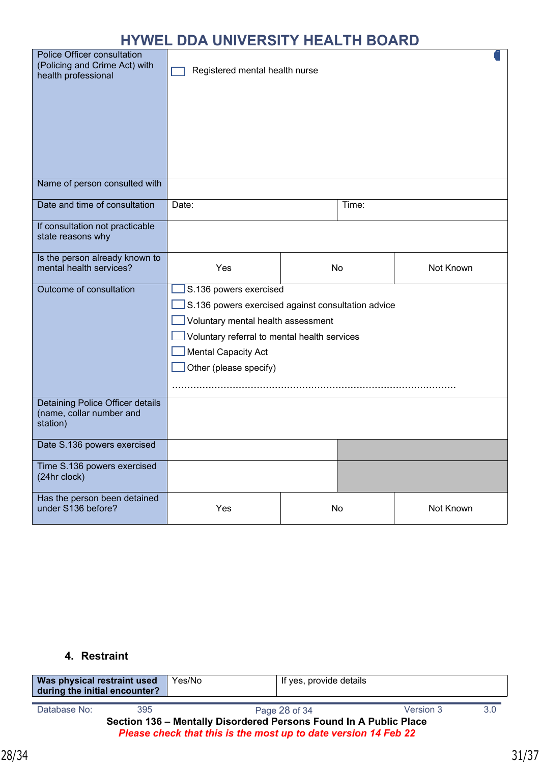| Police Officer consultation<br>(Policing and Crime Act) with<br>health professional | ſīΙ<br>Registered mental health nurse                                                                                                                                                                                      |  |       |           |
|-------------------------------------------------------------------------------------|----------------------------------------------------------------------------------------------------------------------------------------------------------------------------------------------------------------------------|--|-------|-----------|
| Name of person consulted with                                                       |                                                                                                                                                                                                                            |  |       |           |
| Date and time of consultation                                                       | Date:                                                                                                                                                                                                                      |  | Time: |           |
| If consultation not practicable<br>state reasons why                                |                                                                                                                                                                                                                            |  |       |           |
| Is the person already known to<br>mental health services?                           | Yes                                                                                                                                                                                                                        |  | No    | Not Known |
| Outcome of consultation                                                             | S.136 powers exercised<br>S.136 powers exercised against consultation advice<br>Voluntary mental health assessment<br>Voluntary referral to mental health services<br><b>Mental Capacity Act</b><br>Other (please specify) |  |       |           |
| Detaining Police Officer details<br>(name, collar number and<br>station)            |                                                                                                                                                                                                                            |  |       |           |
| Date S.136 powers exercised                                                         |                                                                                                                                                                                                                            |  |       |           |
| Time S.136 powers exercised<br>(24hr clock)                                         |                                                                                                                                                                                                                            |  |       |           |
| Has the person been detained<br>under S136 before?                                  | Yes                                                                                                                                                                                                                        |  | No    | Not Known |

#### **4. Restraint**

| Was physical restraint used<br>during the initial encounter?                                                                         |     | Yes/No | If yes, provide details    |     |  |
|--------------------------------------------------------------------------------------------------------------------------------------|-----|--------|----------------------------|-----|--|
| Database No:                                                                                                                         | 395 |        | Version 3<br>Page 28 of 34 | 3.0 |  |
| Section 136 - Mentally Disordered Persons Found In A Public Place<br>Please check that this is the most up to date version 14 Feb 22 |     |        |                            |     |  |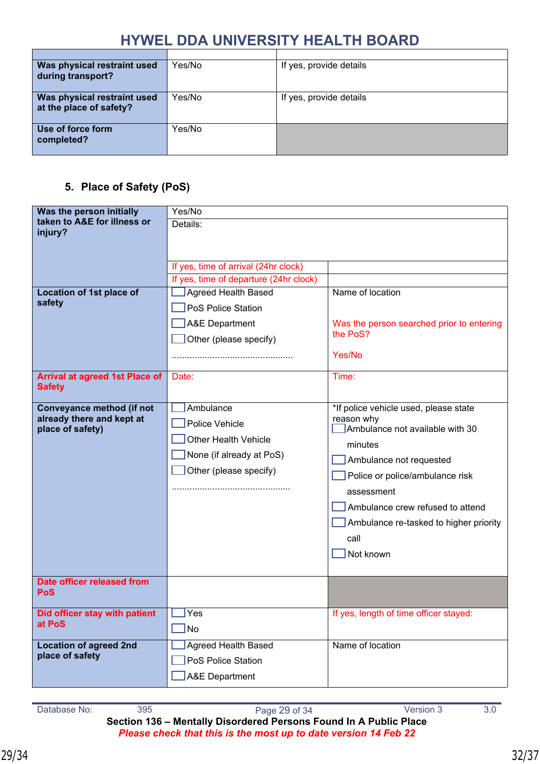| Was physical restraint used<br>during transport?       | Yes/No | If yes, provide details |
|--------------------------------------------------------|--------|-------------------------|
| Was physical restraint used<br>at the place of safety? | Yes/No | If yes, provide details |
| Use of force form<br>completed?                        | Yes/No |                         |

#### **5. Place of Safety (PoS)**

| Was the person initially                               | Yes/No                                 |                                               |  |
|--------------------------------------------------------|----------------------------------------|-----------------------------------------------|--|
| taken to A&E for illness or                            | Details:                               |                                               |  |
| injury?                                                |                                        |                                               |  |
|                                                        |                                        |                                               |  |
|                                                        | If yes, time of arrival (24hr clock)   |                                               |  |
|                                                        | If yes, time of departure (24hr clock) |                                               |  |
| Location of 1st place of<br>safety                     | <b>Agreed Health Based</b>             | Name of location                              |  |
|                                                        | PoS Police Station                     |                                               |  |
|                                                        | <b>A&amp;E Department</b>              | Was the person searched prior to entering     |  |
|                                                        | Other (please specify)                 | the PoS?                                      |  |
|                                                        |                                        | Yes/No                                        |  |
|                                                        |                                        |                                               |  |
| <b>Arrival at agreed 1st Place of</b><br><b>Safety</b> | Date:                                  | Time:                                         |  |
|                                                        |                                        |                                               |  |
| <b>Conveyance method (if not</b>                       | Ambulance                              | *If police vehicle used, please state         |  |
| already there and kept at<br>place of safety)          | Police Vehicle                         | reason why<br>Ambulance not available with 30 |  |
|                                                        | <b>Other Health Vehicle</b>            | minutes                                       |  |
|                                                        | None (if already at PoS)               | Ambulance not requested                       |  |
|                                                        | Other (please specify)                 |                                               |  |
|                                                        |                                        | Police or police/ambulance risk               |  |
|                                                        |                                        | assessment                                    |  |
|                                                        |                                        | Ambulance crew refused to attend              |  |
|                                                        |                                        | Ambulance re-tasked to higher priority        |  |
|                                                        |                                        | call                                          |  |
|                                                        |                                        | Not known                                     |  |
|                                                        |                                        |                                               |  |
| Date officer released from                             |                                        |                                               |  |
| <b>PoS</b>                                             |                                        |                                               |  |
| Did officer stay with patient                          | $\mathsf{\mathsf{I}Yes}$               | If yes, length of time officer stayed:        |  |
| at PoS                                                 | $\exists$ No                           |                                               |  |
| <b>Location of agreed 2nd</b>                          | <b>Agreed Health Based</b>             | Name of location                              |  |
| place of safety                                        | PoS Police Station                     |                                               |  |
|                                                        | <b>A&amp;E Department</b>              |                                               |  |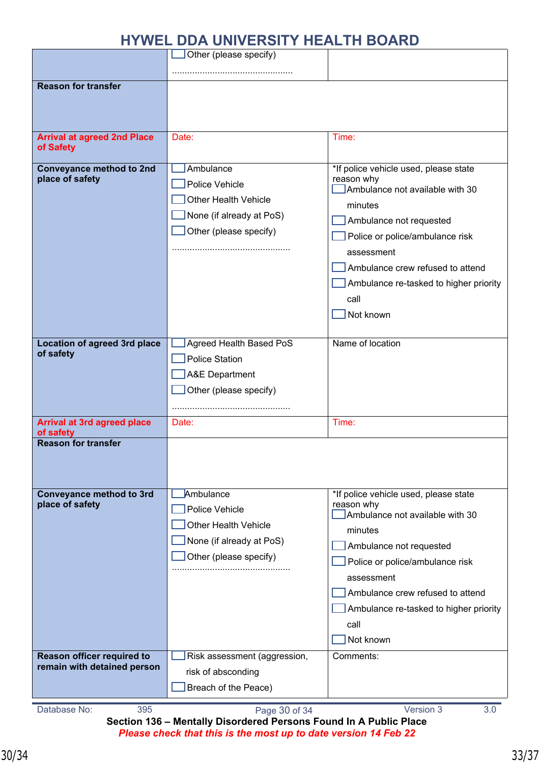|                                                                | <u>UUA UNIVEROITTIILAEIII DUARU</u>                                                                              |                                                                          |
|----------------------------------------------------------------|------------------------------------------------------------------------------------------------------------------|--------------------------------------------------------------------------|
|                                                                | Other (please specify)                                                                                           |                                                                          |
| <b>Reason for transfer</b>                                     |                                                                                                                  |                                                                          |
|                                                                |                                                                                                                  |                                                                          |
|                                                                |                                                                                                                  |                                                                          |
|                                                                |                                                                                                                  |                                                                          |
| <b>Arrival at agreed 2nd Place</b>                             | Date:                                                                                                            | Time:                                                                    |
| of Safety                                                      |                                                                                                                  |                                                                          |
| <b>Conveyance method to 2nd</b>                                | Ambulance                                                                                                        | *If police vehicle used, please state                                    |
| place of safety                                                | Police Vehicle                                                                                                   | reason why<br>Ambulance not available with 30                            |
|                                                                | <b>Other Health Vehicle</b>                                                                                      |                                                                          |
|                                                                | None (if already at PoS)                                                                                         | minutes                                                                  |
|                                                                | Other (please specify)                                                                                           | Ambulance not requested                                                  |
|                                                                |                                                                                                                  | Police or police/ambulance risk                                          |
|                                                                |                                                                                                                  | assessment                                                               |
|                                                                |                                                                                                                  | Ambulance crew refused to attend                                         |
|                                                                |                                                                                                                  | Ambulance re-tasked to higher priority                                   |
|                                                                |                                                                                                                  | call                                                                     |
|                                                                |                                                                                                                  | Not known                                                                |
|                                                                |                                                                                                                  |                                                                          |
| <b>Location of agreed 3rd place</b><br>of safety               | Agreed Health Based PoS                                                                                          | Name of location                                                         |
|                                                                | <b>Police Station</b>                                                                                            |                                                                          |
|                                                                | <b>A&amp;E Department</b>                                                                                        |                                                                          |
|                                                                | Other (please specify)                                                                                           |                                                                          |
|                                                                |                                                                                                                  |                                                                          |
| <b>Arrival at 3rd agreed place</b><br>of safety                | Date:                                                                                                            | Time:                                                                    |
| <b>Reason for transfer</b>                                     |                                                                                                                  |                                                                          |
|                                                                |                                                                                                                  |                                                                          |
|                                                                |                                                                                                                  |                                                                          |
|                                                                |                                                                                                                  |                                                                          |
| place of safety                                                |                                                                                                                  | reason why                                                               |
|                                                                |                                                                                                                  |                                                                          |
|                                                                |                                                                                                                  | minutes                                                                  |
|                                                                |                                                                                                                  | Ambulance not requested                                                  |
|                                                                |                                                                                                                  | Police or police/ambulance risk                                          |
|                                                                |                                                                                                                  | assessment                                                               |
|                                                                |                                                                                                                  | Ambulance crew refused to attend                                         |
|                                                                |                                                                                                                  | Ambulance re-tasked to higher priority                                   |
|                                                                |                                                                                                                  | call                                                                     |
|                                                                |                                                                                                                  | Not known                                                                |
| Reason officer required to                                     | Risk assessment (aggression,                                                                                     | Comments:                                                                |
|                                                                | risk of absconding                                                                                               |                                                                          |
|                                                                | Breach of the Peace)                                                                                             |                                                                          |
|                                                                |                                                                                                                  |                                                                          |
| <b>Conveyance method to 3rd</b><br>remain with detained person | Ambulance<br>Police Vehicle<br><b>Other Health Vehicle</b><br>None (if already at PoS)<br>Other (please specify) | *If police vehicle used, please state<br>Ambulance not available with 30 |

**Section 136 – Mentally Disordered Persons Found In A Public Place** *Please check that this is the most up to date version 14 Feb 22*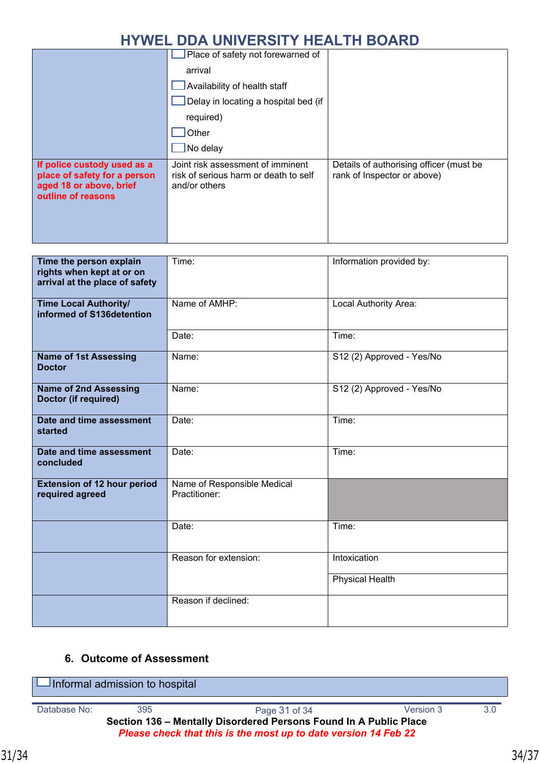|                                                                                                              | Place of safety not forewarned of                                                           |                                                                        |
|--------------------------------------------------------------------------------------------------------------|---------------------------------------------------------------------------------------------|------------------------------------------------------------------------|
|                                                                                                              | arrival                                                                                     |                                                                        |
|                                                                                                              | Availability of health staff                                                                |                                                                        |
|                                                                                                              | Delay in locating a hospital bed (if                                                        |                                                                        |
|                                                                                                              | required)                                                                                   |                                                                        |
|                                                                                                              | Other                                                                                       |                                                                        |
|                                                                                                              | $\sqrt{\phantom{a}}$ No delay                                                               |                                                                        |
| If police custody used as a<br>place of safety for a person<br>aged 18 or above, brief<br>outline of reasons | Joint risk assessment of imminent<br>risk of serious harm or death to self<br>and/or others | Details of authorising officer (must be<br>rank of Inspector or above) |

| Time the person explain<br>rights when kept at or on<br>arrival at the place of safety | Time:                                        | Information provided by:  |
|----------------------------------------------------------------------------------------|----------------------------------------------|---------------------------|
| <b>Time Local Authority/</b><br>informed of S136detention                              | Name of AMHP:                                | Local Authority Area:     |
|                                                                                        | Date:                                        | Time:                     |
| <b>Name of 1st Assessing</b><br><b>Doctor</b>                                          | Name:                                        | S12 (2) Approved - Yes/No |
| <b>Name of 2nd Assessing</b><br>Doctor (if required)                                   | Name:                                        | S12 (2) Approved - Yes/No |
| Date and time assessment<br>started                                                    | Date:                                        | Time:                     |
| Date and time assessment<br>concluded                                                  | Date:                                        | Time:                     |
| <b>Extension of 12 hour period</b><br>required agreed                                  | Name of Responsible Medical<br>Practitioner: |                           |
|                                                                                        | Date:                                        | Time:                     |
|                                                                                        | Reason for extension:                        | Intoxication              |
|                                                                                        |                                              | <b>Physical Health</b>    |
|                                                                                        | Reason if declined:                          |                           |

#### **6. Outcome of Assessment**

Database No: 395 305 Page 31 of 34 Version 3 3.0 **Section 136 – Mentally Disordered Persons Found In A Public Place** *Please check that this is the most up to date version 14 Feb 22*  $\Box$ Informal admission to hospital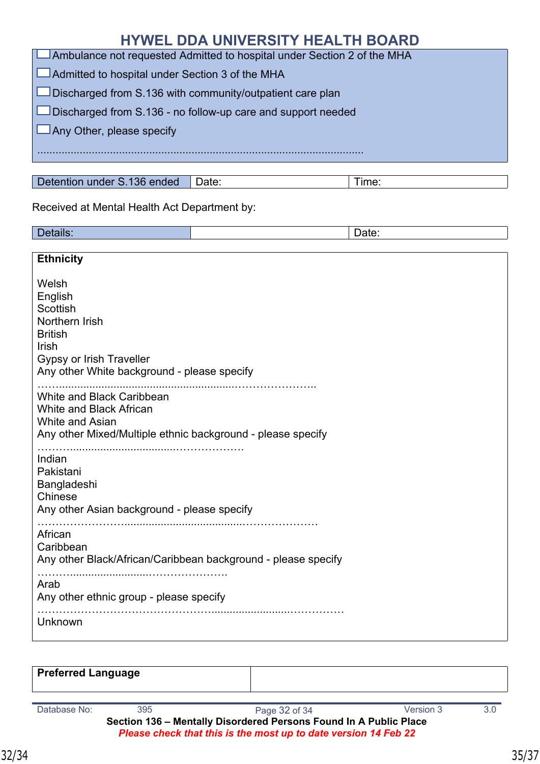|                                                                         | <b>HYWEL DDA UNIVERSITY HEALTH BOARD</b> |       |
|-------------------------------------------------------------------------|------------------------------------------|-------|
| Ambulance not requested Admitted to hospital under Section 2 of the MHA |                                          |       |
| $\Box$ Admitted to hospital under Section 3 of the MHA                  |                                          |       |
| $\Box$ Discharged from S.136 with community/outpatient care plan        |                                          |       |
| $\Box$ Discharged from S.136 - no follow-up care and support needed     |                                          |       |
| $\Box$ Any Other, please specify                                        |                                          |       |
|                                                                         |                                          |       |
|                                                                         |                                          |       |
| Detention under S.136 ended                                             | Date:                                    | Time: |

Received at Mental Health Act Department by:

Postalls: Particularly and the contract of the contract of the contract of the contract of the contract of the contract of the contract of the contract of the contract of the contract of the contract of the contract of the

| <b>Ethnicity</b>                                                                                                                                     |
|------------------------------------------------------------------------------------------------------------------------------------------------------|
| Welsh<br>English<br>Scottish<br>Northern Irish<br><b>British</b><br>Irish<br>Gypsy or Irish Traveller<br>Any other White background - please specify |
| White and Black Caribbean<br>White and Black African<br><b>White and Asian</b><br>Any other Mixed/Multiple ethnic background - please specify        |
| Indian<br>Pakistani<br>Bangladeshi<br>Chinese<br>Any other Asian background - please specify                                                         |
| African<br>Caribbean<br>Any other Black/African/Caribbean background - please specify                                                                |
| Arab<br>Any other ethnic group - please specify<br>Unknown                                                                                           |
|                                                                                                                                                      |

| <b>Preferred Language</b>                                                                                                            |     |               |           |     |
|--------------------------------------------------------------------------------------------------------------------------------------|-----|---------------|-----------|-----|
| Database No:                                                                                                                         | 395 | Page 32 of 34 | Version 3 | 3.0 |
| Section 136 - Mentally Disordered Persons Found In A Public Place<br>Please check that this is the most up to date version 14 Feb 22 |     |               |           |     |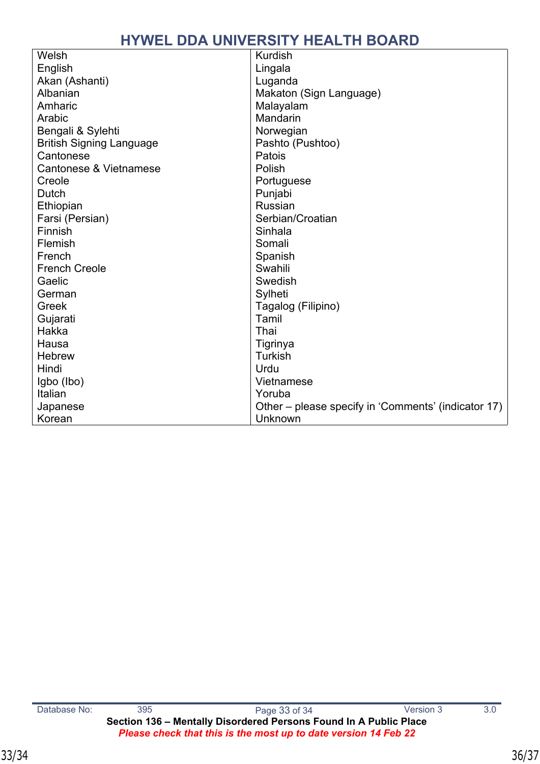| Welsh                           | <b>Kurdish</b>                                      |
|---------------------------------|-----------------------------------------------------|
| English                         | Lingala                                             |
| Akan (Ashanti)                  | Luganda                                             |
| Albanian                        | Makaton (Sign Language)                             |
| Amharic                         | Malayalam                                           |
| Arabic                          | Mandarin                                            |
| Bengali & Sylehti               | Norwegian                                           |
| <b>British Signing Language</b> | Pashto (Pushtoo)                                    |
| Cantonese                       | Patois                                              |
| Cantonese & Vietnamese          | Polish                                              |
| Creole                          | Portuguese                                          |
| <b>Dutch</b>                    | Punjabi                                             |
| Ethiopian                       | Russian                                             |
| Farsi (Persian)                 | Serbian/Croatian                                    |
| Finnish                         | Sinhala                                             |
| Flemish                         | Somali                                              |
| French                          | Spanish                                             |
| <b>French Creole</b>            | Swahili                                             |
| Gaelic                          | Swedish                                             |
| German                          | Sylheti                                             |
| Greek                           | Tagalog (Filipino)                                  |
| Gujarati                        | Tamil                                               |
| Hakka                           | Thai                                                |
| Hausa                           | Tigrinya                                            |
| <b>Hebrew</b>                   | <b>Turkish</b>                                      |
| Hindi                           | Urdu                                                |
| Igbo (Ibo)                      | Vietnamese                                          |
| Italian                         | Yoruba                                              |
| Japanese                        | Other – please specify in 'Comments' (indicator 17) |
| Korean                          | Unknown                                             |